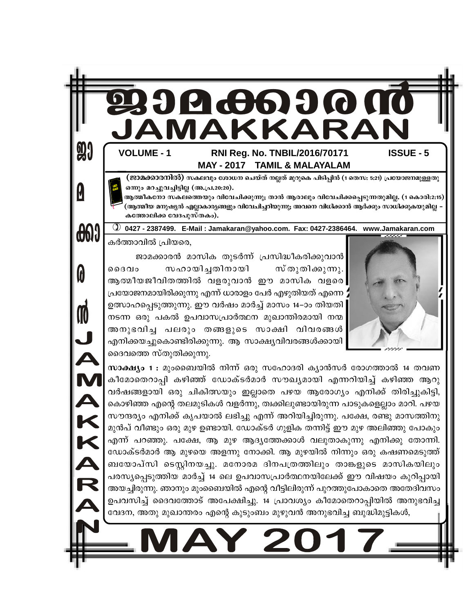

അനുഭവിച്ച പലരും തങ്ങളുടെ സാക്ഷി വിവരങ്ങൾ എനിക്കയച്ചുകൊണ്ടിരിക്കുന്നു. ആ സാക്ഷ്യവിവരങ്ങൾക്കായി ദൈവത്തെ സ്തുതിക്കുന്നു.

J AMAKKAR

സാക്ഷ്യം 1 : മുംബൈയിൽ നിന്ന് ഒരു സഹോദരി ക്യാൻസർ രോഗത്താൽ 14 തവണ കീമോതെറാപ്പി കഴിഞ്ഞ് ഡോക്ടർമാർ സൗഖ്യമായി എന്നറിയിച്ച് കഴിഞ്ഞ ആറു വർഷങ്ങളായി ഒരു ചികിത്സയും ഇല്ലാതെ പഴയ ആരോഗ്യം എനിക്ക് തിരിച്ചുകിട്ടി, കൊഴിഞ്ഞ എന്റെ തലമുടികൾ വളർന്നു, ത്വക്കിലുണ്ടായിരുന്ന പാടുകളെല്ലാം മാറി. പഴയ സൗന്ദര്യം എനിക്ക് കൃപയാൽ ലഭിച്ചു എന്ന് അറിയിച്ചിരുന്നു. പക്ഷേ, രണ്ടു മാസത്തിനു മുൻപ് വീണ്ടും ഒരു മുഴ ഉണ്ടായി. ഡോക്ടർ ഗുളിക തന്നിട്ട് ഈ മുഴ അലിഞ്ഞു പോകും എന്ന് പറഞ്ഞു. പക്ഷേ, ആ മുഴ ആദ്യത്തേക്കാൾ വലുതാകുന്നു എനിക്കു തോന്നി. ഡോക്ടർമാർ ആ മുഴയെ അളന്നു നോക്കി. ആ മുഴയിൽ നിന്നും ഒരു കഷണമെടുത്ത് ബയോപ്സി ടെസ്റ്റിനയച്ചു. മനോരമ ദിനപത്രത്തിലും താങ്കളുടെ മാസികയിലും പരസ്യപ്പെടുത്തിയ മാർച്ച് 14 ലെ ഉപവാസപ്രാർത്ഥനയിലേക്ക് ഈ വിഷയം കുറിപ്പായി അയച്ചിരുന്നു. ഞാനും മുംബൈയിൽ എന്റെ വീട്ടിലിരുന്ന് പുറത്തുപോകാതെ അതേദിവസം ഉപവസിച്ച് ദൈവത്തോട് അപേക്ഷിച്ചു. 14 പ്രാവശ്യം കീമോതെറാപ്പിയിൽ അനുഭവിച്ച വേദന, അതു മുഖാന്തരം എന്റെ കുടുംബം മുഴുവൻ അനുഭവിച്ച ബുദ്ധിമുട്ടികൾ,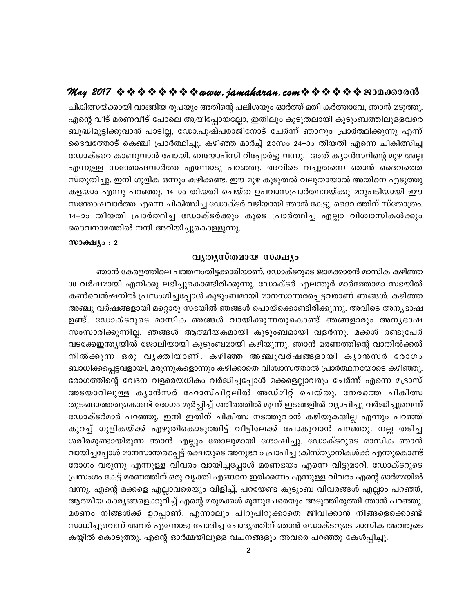ചികിത്സയ്ക്കായി വാങ്ങിയ രൂപയും അതിന്റെ പലിശയും ഓർത്ത് മതി കർത്താവേ, ഞാൻ മടുത്തു. എന്റെ വീട് മരണവീട് പോലെ ആയിപ്പോയല്ലോ, ഇതിലും കൂടുതലായി കുടുംബത്തിലുള്ളവരെ ബുദ്ധിമുട്ടിക്കുവാൻ പാടില്ല, ഡോ.പുഷ്പരാജിനോട് ചേർന്ന് ഞാനും പ്രാർത്ഥിക്കുന്നു എന്ന് ദൈവത്തോട് കെഞ്ചി പ്രാർത്ഥിച്ചു. കഴിഞ്ഞ മാർച്ച് മാസം 24–ാം തിയതി എന്നെ ചികിത്സിച്ച ഡോക്ടറെ കാണുവാൻ പോയി. ബയോപ്സി റിപ്പോർട്ടു വന്നു. അത് ക്യാൻസറിന്റെ മുഴ അല്ല എന്നുള്ള സന്തോഷവാർത്ത എന്നോടു പറഞ്ഞു. അവിടെ വച്ചുതന്നെ ഞാൻ ദൈവത്തെ സ്തുതിച്ചു. ഇനി ഗുളിക ഒന്നും കഴിക്കണ്ട. ഈ മുഴ കൂടുതൽ വലുതായാൽ അതിനെ എടുത്തു കളയാം എന്നു പറഞ്ഞു. 14–ാം തിയതി ചെയ്ത ഉപവാസപ്രാർത്ഥനയ്ക്കു മറുപടിയായി ഈ സന്തോഷവാർത്ത എന്നെ ചികിത്സിച്ച ഡോക്ടർ വഴിയായി ഞാൻ കേട്ടു. ദൈവത്തിന് സ്തോത്രം. 14-ാം തീയതി പ്രാർത്ഥിച്ച ഡോക്ടർക്കും കൂടെ പ്രാർത്ഥിച്ച എല്ലാ വിശ്വാസികൾക്കും ദൈവനാമത്തിൽ നന്ദി അറിയിച്ചുകൊള്ളുന്നു.

#### $w$ эфя $y_9:2$

#### വൃതൃസ്തമായ സക്ഷ്യം

ഞാൻ കേരളത്തിലെ പത്തനംതിട്ടക്കാരിയാണ്. ഡോക്ടറുടെ ജാമക്കാരൻ മാസിക കഴിഞ്ഞ 30 വർഷമായി എനിക്കു ലഭിച്ചുകൊണ്ടിരിക്കുന്നു. ഡോക്ടർ എലന്തൂർ മാർത്തോമാ സഭയിൽ കൺവെൻഷനിൽ പ്രസംഗിച്ചപ്പോൾ കുടുംബമായി മാനസാന്തരപ്പെട്ടവരാണ് ഞങ്ങൾ. കഴിഞ്ഞ അഞ്ചു വർഷങ്ങളായി മറ്റൊരു സഭയിൽ ഞങ്ങൾ പൊയ്ക്കൊണ്ടിരിക്കുന്നു. അവിടെ അനൃഭാഷ ഉണ്ട്. ഡോക്ടറുടെ മാസിക ഞങ്ങൾ വായിക്കുന്നതുകൊണ്ട് ഞങ്ങളാരും അനൃഭാഷ സംസാരിക്കുന്നില്ല. ഞങ്ങൾ ആത്മീയകമായി കുടുംബമായി വളർന്നു. മക്കൾ രണ്ടുപേർ വടക്കേഇന്ത്യയിൽ ജോലിയായി കുടുംബമായി കഴിയുന്നു. ഞാൻ മരണത്തിന്റെ വാതിൽക്കൽ നിൽക്കുന്ന ഒരു വൃക്തിയാണ്. കഴിഞ്ഞ അഞ്ചുവർഷങ്ങളായി കൃാൻസർ രോഗം ബാധിക്കപ്പെട്ടവളായി, മരുന്നുകളൊന്നും കഴിക്കാതെ വിശ്വാസത്താൽ പ്രാർത്ഥനയോടെ കഴിഞ്ഞു. രോഗത്തിന്റെ വേദന വളരെയധികം വർദ്ധിച്ചപ്പോൾ മക്കളെല്ലാവരും ചേർന്ന് എന്നെ മദ്രാസ് അടയാറിലുള്ള കൃാൻസർ ഹോസ്പിറ്റലിൽ അഡ്മിറ്റ് ചെയ്തു. നേരത്തെ ചികിത്സ തുടങ്ങാത്തതുകൊണ്ട് രോഗം മൂർച്ഛിച്ച് ശരീരത്തിൽ മൂന്ന് ഇടങ്ങളിൽ വ്യാപിച്ചു വർദ്ധിച്ചുവെന്ന് ഡോക്ടർമാർ പറഞ്ഞു. ഇനി ഇതിന് ചികിത്സ നടത്തുവാൻ കഴിയുകയില്ല എന്നും പറഞ്ഞ് കുറച്ച് ഗുളികയ്ക്ക് എഴുതികൊടുത്തിട്ട് വീട്ടിലേക്ക് പോകുവാൻ പറഞ്ഞു. നല്ല തടിച്ച ശരീരമുണ്ടായിരുന്ന ഞാൻ എല്ലും തോലുമായി ശോഷിച്ചു. ഡോക്ടറുടെ മാസിക ഞാൻ വായിച്ചപ്പോൾ മാനസാന്തരപ്പെട്ട് രക്ഷയുടെ അനുഭവം പ്രാപിച്ച ക്രിസ്ത്യാനികൾക്ക് എന്തുകൊണ്ട് രോഗം വരുന്നു എന്നുള്ള വിവരം വായിച്ചപ്പോൾ മരണഭയം എന്നെ വിട്ടുമാറി. ഡോക്ടറുടെ പ്രസംഗം കേട്ട് മരണത്തിന് ഒരു വ്യക്തി എങ്ങനെ ഇരിക്കണം എന്നുള്ള വിവരം എന്റെ ഓർമ്മയിൽ വന്നു. എന്റെ മക്കളെ എല്ലാവരെയും വിളിച്ച്, പറയേണ്ട കുടുംബ വിവരങ്ങൾ എല്ലാം പറഞ്ഞ്, ആത്മീയ കാര്യങ്ങളെക്കുറിച്ച് എന്റെ മരുമക്കൾ മൂന്നുപേരെയും അടുത്തിരുത്തി ഞാൻ പറഞ്ഞു. മരണം നിങ്ങൾക്ക് ഉറപ്പാണ്. എന്നാലും പിറുപിറുക്കാതെ ജീവിക്കാൻ നിങ്ങളെക്കൊണ്ട് സാധിച്ചുവെന്ന് അവർ എന്നോടു ചോദിച്ച ചോദ്യത്തിന് ഞാൻ ഡോക്ടറുടെ മാസിക അവരുടെ കയ്യിൽ കൊടുത്തു. എന്റെ ഓർമ്മയിലുള്ള വചനങ്ങളും അവരെ പറഞ്ഞു കേൾപ്പിച്ചു.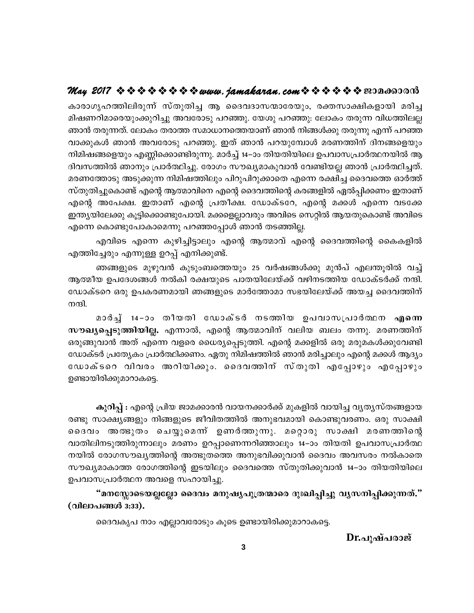കാരാഗൃഹത്തിലിരുന്ന് സ്തുതിച്ച ആ ദൈവദാസന്മാരേയും, രക്തസാക്ഷികളായി മരിച്ച മിഷണറിമാരെയുംക്കുറിച്ചു അവരോടു പറഞ്ഞു. യേശു പറഞ്ഞു: ലോകം തരുന്ന വിധത്തിലല്ല ഞാൻ തരുന്നത്. ലോകം തരാത്ത സമാധാനത്തെയാണ് ഞാൻ നിങ്ങൾക്കു തരുന്നു എന്ന് പറഞ്ഞ വാക്കുകൾ ഞാൻ അവരോടു പറഞ്ഞു. ഇത് ഞാൻ പറയുമ്പോൾ മരണത്തിന് ദിനങ്ങളെയും നിമിഷങ്ങളെയും എണ്ണിക്കൊണ്ടിരുന്നു. മാർച്ച് 14–ാം തിയതിയിലെ ഉപവാസപ്രാർത്ഥനയിൽ ആ ദിവസത്തിൽ ഞാനും പ്രാർത്ഥിച്ചു. രോഗം സൗഖ്യമാകുവാൻ വേണ്ടിയല്ല ഞാൻ പ്രാർത്ഥിച്ചത്. മരണത്തോടു അടുക്കുന്ന നിമിഷത്തിലും പിറുപിറുക്കാതെ എന്നെ രക്ഷിച്ച ദൈവത്തെ ഓർത്ത് സ്തുതിച്ചുകൊണ്ട് എന്റെ ആത്മാവിനെ എന്റെ ദൈവത്തിന്റെ കരങ്ങളിൽ ഏൽപ്പിക്കണം ഇതാണ് എന്റെ അപേക്ഷ. ഇതാണ് എന്റെ പ്രതീക്ഷ. ഡോക്ടറേ, എന്റെ മക്കൾ എന്നെ വടക്കേ ഇന്ത്യയിലേക്കു കൂട്ടിക്കൊണ്ടുപോയി. മക്കളെല്ലാവരും അവിടെ സെറ്റിൽ ആയതുകൊണ്ട് അവിടെ എന്നെ കൊണ്ടുപോകാമെന്നു പറഞ്ഞപ്പോൾ ഞാൻ തടഞ്ഞില്ല.

എവിടെ എന്നെ കുഴിച്ചിട്ടാലും എന്റെ ആത്മാവ് എന്റെ ദൈവത്തിന്റെ കൈകളിൽ എത്തിച്ചേരും എന്നുള്ള ഉറപ്പ് എനിക്കുണ്ട്.

ഞങ്ങളുടെ മുഴുവൻ കുടുംബത്തെയും 25 വർഷങ്ങൾക്കു മുൻപ് എലന്തൂരിൽ വച്ച് ആത്മീയ ഉപദേശങ്ങൾ നൽകി രക്ഷയുടെ പാതയിലേയ്ക്ക് വഴിനടത്തിയ ഡോക്ടർക്ക് നന്ദി. ഡോക്ടറെ ഒരു ഉപകരണമായി ഞങ്ങളുടെ മാർത്തോമാ സഭയിലേയ്ക്ക് അയച്ച ദൈവത്തിന് നന്ദി.

മാർച്ച് 14−ാം തീയതി ഡോക്ടർ നടത്തിയ ഉപവാസപ്രാർത്ഥന എന്നെ സൗഖ്യപ്പെടുത്തിയില്ല. എന്നാൽ, എന്റെ ആത്മാവിന് വലിയ ബലം തന്നു. മരണത്തിന് ഒരുങ്ങുവാൻ അത് എന്നെ വളരെ ധൈര്യപ്പെടുത്തി. എന്റെ മക്കളിൽ ഒരു മരുമകൾക്കുവേണ്ടി ഡോക്ടർ പ്രത്യേകം പ്രാർത്ഥിക്കണം. ഏതു നിമിഷത്തിൽ ഞാൻ മരിച്ചാലും എന്റെ മക്കൾ ആദ്യം ഡോക്ടറെ വിവരം അറിയിക്കും. ദൈവത്തിന് സ്തുതി എപ്പോഴും എപ്പോഴും ഉണ്ടായിരിക്കുമാറാകട്ടെ.

കുറിപ്പ് : എന്റെ പ്രിയ ജാമക്കാരൻ വായനക്കാർക്ക് മുകളിൽ വായിച്ച വ്യത്യസ്തങ്ങളായ രണ്ടു സാക്ഷ്യങ്ങളും നിങ്ങളുടെ ജീവിതത്തിൽ അനുഭവമായി കൊണ്ടുവരണം. ഒരു സാക്ഷി ദൈവം അതഭുതം ചെയ്യുമെന്ന് ഉണർത്തുന്നു. മറ്റൊരു സാക്ഷി മരണത്തിന്റെ വാതിലിനടുത്തിരുന്നാലും മരണം ഉറപ്പാണെന്നറിഞ്ഞാലും 14–ാം തിയതി ഉപവാസപ്രാർത്ഥ നയിൽ രോഗസൗഖ്യത്തിന്റെ അത്ഭുതത്തെ അനുഭവിക്കുവാൻ ദൈവം അവസരം നൽകാതെ സൗഖ്യമാകാത്ത രോഗത്തിന്റെ ഇടയിലും ദൈവത്തെ സ്തുതിക്കുവാൻ 14–ാം തിയതിയിലെ ഉപവാസപ്രാർത്ഥന അവളെ സഹായിച്ചു.

"മനസ്സോടെയല്ലല്ലോ ദൈവം മനുഷ്യപുത്രന്മാരെ ദുഃഖിപ്പിച്ചു വ്യസനിപ്പിക്കുന്നത്." (വിലാപങ്ങൾ 3:33).

ദൈവകൃപ നാം എല്ലാവരോടും കൂടെ ഉണ്ടായിരിക്കുമാറാകട്ടെ.

Dr.പുഷ്പരാജ്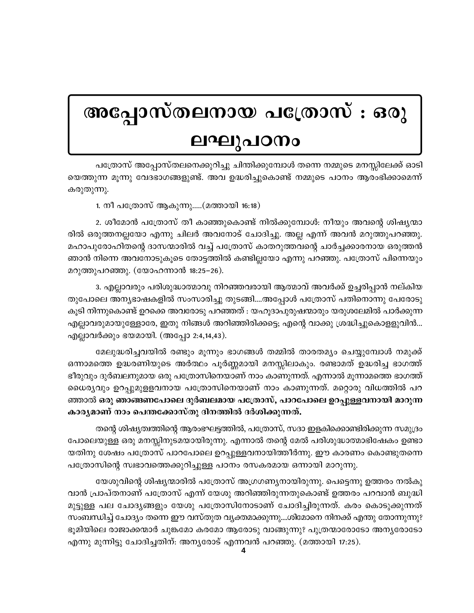# അപ്പോസ്തലനായ പത്രോസ് : ഒരു ലഘുപഠനം

പത്രോസ് അപ്പോസ്തലനെക്കുറിച്ചു ചിന്തിക്കുമ്പോൾ തന്നെ നമ്മുടെ മനസ്സിലേക്ക് ഓടി യെത്തുന്ന മൂന്നു വേദഭാഗങ്ങളുണ്ട്. അവ ഉദ്ധരിച്ചുകൊണ്ട് നമ്മുടെ പഠനം ആരംഭിക്കാമെന്ന് കരുതുന്നു.

1. നീ പത്രോസ് ആകുന്നു.....(മത്തായി 16:18)

2. ശീമോൻ പത്രോസ് തീ കാഞ്ഞുകൊണ്ട് നിൽക്കുമ്പോൾ: നീയും അവന്റെ ശിഷ്യന്മാ രിൽ ഒരുത്തനല്ലയോ എന്നു ചിലർ അവനോട് ചോദിച്ചു. അല്ല എന്ന് അവൻ മറുത്തുപറഞ്ഞു. മഹാപുരോഹിതന്റെ ദാസന്മാരിൽ വച്ച് പത്രോസ് കാതറുത്തവന്റെ ചാർച്ചക്കാരനായ ഒരുത്തൻ ഞാൻ നിന്നെ അവനോടുകൂടെ തോട്ടത്തിൽ കണ്ടില്ലയോ എന്നു പറഞ്ഞു. പത്രോസ് പിന്നെയും മറുത്തുപറഞ്ഞു. (യോഹന്നാൻ 18:25–26).

3. എല്ലാവരും പരിശുദ്ധാത്മാവു നിറഞ്ഞവരായി ആത്മാവ് അവർക്ക് ഉച്ചരിപ്പാൻ നല്കിയ തുപോലെ അന്യഭാഷകളിൽ സംസാരിച്ചു തുടങ്ങി....അപ്പോൾ പത്രോസ് പതിനൊന്നു പേരോടു കുടി നിന്നുകൊണ്ട് ഉറക്കെ അവരോടു പറഞ്ഞത് : യഹുദാപുരുഷന്മാരും യരുശലേമിൽ പാർക്കുന്ന എല്ലാവരുമായുള്ളോരേ, ഇതു നിങ്ങൾ അറിഞ്ഞിരിക്കട്ടെ; എന്റെ വാക്കു ശ്രദ്ധിച്ചുകൊള്ളുവിൻ... എല്ലാവർക്കും ഭയമായി. (അപ്പോ 2:4,14,43).

മേലുദ്ധരിച്ചവയിൽ രണ്ടും മൂന്നും ഭാഗങ്ങൾ തമ്മിൽ താരതമ്യം ചെയ്യുമ്പോൾ നമുക്ക് ഒന്നാമത്തെ ഉദ്ധരണിയുടെ അർത്ഥം പൂർണ്ണമായി മനസ്സിലാകും. രണ്ടാമത് ഉദ്ധരിച്ച ഭാഗത്ത് ഭീരുവും ദുർബലനുമായ ഒരു പത്രോസിനെയാണ് നാം കാണുന്നത്. എന്നാൽ മൂന്നാമത്തെ ഭാഗത്ത് ധൈര്യവും ഉറപ്പുമുള്ളവനായ പത്രോസിനെയാണ് നാം കാണുന്നത്. മറ്റൊരു വിധത്തിൽ പറ ഞ്ഞാൽ ഒരു ഞാങ്ങണപോലെ ദുർബലമായ പത്രോസ്, പാറപോലെ ഉറപുള്ളവനായി മാറുന്ന കാര്യമാണ് നാം പെന്തക്കോസ്തു ദിനത്തിൽ ദർശിക്കുന്നത്.

തന്റെ ശിഷ്യത്വത്തിന്റെ ആരംഭഘട്ടത്തിൽ, പത്രോസ്, സദാ ഇളകിക്കൊണ്ടിരിക്കുന്ന സമുദ്രം പോലെയുള്ള ഒരു മനസ്സിനുടമയായിരുന്നു. എന്നാൽ തന്റെ മേൽ പരിശുദ്ധാത്മാഭിഷേകം ഉണ്ടാ യതിനു ശേഷം പത്രോസ് പാറപോലെ ഉറപ്പുള്ളവനായിത്തീർന്നു. ഈ കാരണം കൊണ്ടുതന്നെ പത്രോസിന്റെ സ്വഭാവത്തെക്കുറിച്ചുള്ള പഠനം രസകരമായ ഒന്നായി മാറുന്നു.

യേശുവിന്റെ ശിഷ്യന്മാരിൽ പത്രോസ് അഗ്രഗണ്യനായിരുന്നു. പെട്ടെന്നു ഉത്തരം നൽകു വാൻ പ്രാപ്തനാണ് പത്രോസ് എന്ന് യേശു അറിഞ്ഞിരുന്നതുകൊണ്ട് ഉത്തരം പറവാൻ ബുദ്ധി മുട്ടുള്ള പല ചോദ്യങ്ങളും യേശു പത്രോസിനോടാണ് ചോദിച്ചിരുന്നത്. കരം കൊടുക്കുന്നത് സംബന്ധിച്ച് ചോദ്യം തന്നെ ഈ വസ്തുത വ്യക്തമാക്കുന്നു....ശിമോനെ നിനക്ക് എന്തു തോന്നുന്നു? ഭൂമിയിലെ രാജാക്കന്മാർ ചുങ്കമോ കരമോ ആരോടു വാങ്ങുന്നു? പുത്രന്മാരോടോ അനൃരോടോ എന്നു മുന്നിട്ടു ചോദിച്ചതിന്: അന്യരോട് എന്നവൻ പറഞ്ഞു. (മത്തായി 17:25).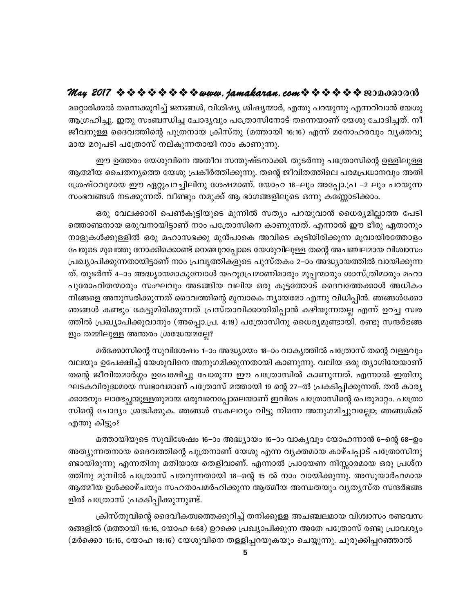മറ്റൊരിക്കൽ തന്നെക്കുറിച്ച് ജനങ്ങൾ, വിശിഷ്യ ശിഷ്യന്മാർ, എന്തു പറയുന്നു എന്നറിവാൻ യേശു ആഗ്രഹിച്ചു. ഇതു സംബന്ധിച്ച ചോദ്യവും പത്രോസിനോട് തന്നെയാണ് യേശു ചോദിച്ചത്. നീ ജീവനുള്ള ദൈവത്തിന്റെ പുത്രനായ ക്രിസ്തു (മത്തായി 16:16) എന്ന് മനോഹരവും വ്യക്തവു മായ മറുപടി പത്രോസ് നല്കുന്നതായി നാം കാണുന്നു.

ഈ ഉത്തരം യേശുവിനെ അതീവ സന്തുഷ്ടനാക്കി. തുടർന്നു പത്രോസിന്റെ ഉള്ളിലുള്ള ആത്മീയ ചൈതന്യത്തെ യേശു പ്രകീർത്തിക്കുന്നു. തന്റെ ജീവിതത്തിലെ പരമപ്രധാനവും അതി ശ്രേഷ്ഠവുമായ ഈ ഏറ്റുപറച്ചിലിനു ശേഷമാണ്. യോഹ 18−ലും അപ്പോ.പ്ര −2 ലും പറയുന്ന സംഭവങ്ങൾ നടക്കുന്നത്. വീണ്ടും നമുക്ക് ആ ഭാഗങ്ങളിലൂടെ ഒന്നു കണ്ണോടിക്കാം.

ഒരു വേലക്കാരി പെൺകുട്ടിയുടെ മുന്നിൽ സത്യം പറയുവാൻ ധൈര്യമില്ലാത്ത പേടി ത്തൊണ്ടനായ ഒരുവനായിട്ടാണ് നാം പത്രോസിനെ കാണുന്നത്. എന്നാൽ ഈ ഭീരു ഏതാനും നാളുകൾക്കുള്ളിൽ ഒരു മഹാസഭക്കു മുൻപാകെ അവിടെ കൂടിയിരിക്കുന്ന മൂവായിരത്തോളം പേരുടെ മുഖത്തു നോക്കിക്കൊണ്ട് നെഞ്ചുറപ്പോടെ യേശുവിലുള്ള തന്റെ അചഞ്ചലമായ വിശ്വാസം പ്രഖ്യാപിക്കുന്നതായിട്ടാണ് നാം പ്രവൃത്തികളുടെ പുസ്തകം 2–ാം അദ്ധ്യായത്തിൽ വായിക്കുന്ന ത്. തുടർന്ന് 4–ാം അദ്ധ്യായമാകുമ്പോൾ യഹൂദപ്രമാണിമാരും മൂപ്പന്മാരും ശാസ്ത്രിമാരും മഹാ പുരോഹിതന്മാരും സംഘവും അടങ്ങിയ വലിയ ഒരു കൂട്ടത്തോട് ദൈവത്തേക്കാൾ അധികം നിങ്ങളെ അനുസരിക്കുന്നത് ദൈവത്തിന്റെ മുമ്പാകെ ന്യായമോ എന്നു വിധിപ്പിൻ. ഞങ്ങൾക്കോ ഞങ്ങൾ കണ്ടും കേട്ടുമിരിക്കുന്നത് പ്രസ്താവിക്കാതിരിപ്പാൻ കഴിയുന്നതല്ല എന്ന് ഉറച്ച സ്വര ത്തിൽ പ്രഖ്യാപിക്കുവാനും (അപ്പൊ.പ്ര. 4:19) പത്രോസിനു ധൈര്യമുണ്ടായി. രണ്ടു സന്ദർഭങ്ങ ളും തമ്മിലുള്ള അന്തരം ശ്രദ്ധേയമല്ലേ?

മർക്കോസിന്റെ സുവിശേഷം 1–ാം അദ്ധ്യായം 18–ാം വാകൃത്തിൽ പത്രോസ് തന്റെ വള്ളവും വലയും ഉപേക്ഷിച്ച് യേശുവിനെ അനുഗമിക്കുന്നതായി കാണുന്നു. വലിയ ഒരു ത്യാഗിയേയാണ് തന്റെ ജീവിതമാർഗ്ഗം ഉപേക്ഷിച്ചു പോരുന്ന ഈ പത്രോസിൽ കാണുന്നത്. എന്നാൽ ഇതിനു ഘടകവിരുദ്ധമായ സ്വഭാവമാണ് പത്രോസ് മത്തായി 19 ന്റെ 27–ൽ പ്രകടിപ്പിക്കുന്നത്. തൻ കാര്യ ക്കാരനും ലാഭേച്ഛയുള്ളതുമായ ഒരുവനെപ്പോലെയാണ് ഇവിടെ പത്രോസിന്റെ പെരുമാറ്റം. പത്രോ സിന്റെ ചോദ്യം ശ്രദ്ധിക്കുക. ഞങ്ങൾ സകലവും വിട്ടു നിന്നെ അനുഗമിച്ചുവല്ലോ; ഞങ്ങൾക്ക് എന്തു കിട്ടും?

മത്തായിയുടെ സുവിശേഷം 16−ാം അദ്ധ്യായം 16−ാം വാക്യവും യോഹന്നാൻ 6−ന്റെ 68−ഉം അത്യുന്നതനായ ദൈവത്തിന്റെ പുത്രനാണ് യേശു എന്ന വ്യക്തമായ കാഴ്ചപ്പാട് പത്രോസിനു ണ്ടായിരുന്നു എന്നതിനു മതിയായ തെളിവാണ്. എന്നാൽ പ്രായേണ നിസ്സാരമായ ഒരു പ്രശ്ന ത്തിനു മുമ്പിൽ പത്രോസ് പതറുന്നതായി 18–ന്റെ 15 ൽ നാം വായിക്കുന്നു. അസൂയാർഹമായ ആത്മീയ ഉൾക്കാഴ്ചയും സഹതാപമർഹിക്കുന്ന ആത്മീയ അന്ധതയും വൃതൃസ്ത സന്ദർഭങ്ങ ളിൽ പത്രോസ് പ്രകടിപ്പിക്കുന്നുണ്ട്.

ക്രിസ്തുവിന്റെ ദൈവീകത്വത്തെക്കുറിച്ച് തനിക്കുള്ള അചഞ്ചലമായ വിശ്വാസം രണ്ടവസ രങ്ങളിൽ (മത്തായി 16:16, യോഹ 6:68) ഉറക്കെ പ്രഖ്യാപിക്കുന്ന അതേ പത്രോസ് രണ്ടു പ്രാവശ്യം (മർക്കൊ 16:16, യോഹ 18:16) യേശുവിനെ തള്ളിപ്പറയുകയും ചെയ്യുന്നു. ചുരുക്കിപ്പറഞ്ഞാൽ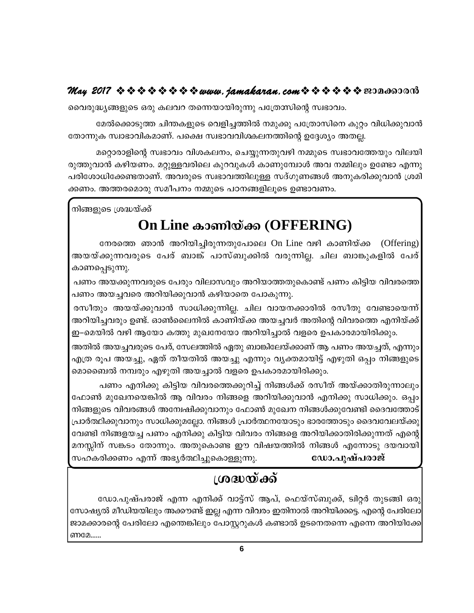വൈരുദ്ധ്യങ്ങളുടെ ഒരു കലവറ തന്നെയായിരുന്നു പത്രേസിന്റെ സ്വഭാവം.

മേൽക്കൊടുത്ത ചിന്തകളുടെ വെളിച്ചത്തിൽ നമുക്കു പത്രോസിനെ കുറ്റം വിധിക്കുവാൻ തോന്നുക സ്വാഭാവികമാണ്. പക്ഷെ സ്വഭാവവിശകലനത്തിന്റെ ഉദ്ദേശ്യം അതല്ല.

മറ്റൊരാളിന്റെ സ്വഭാവം വിശകലനം, ചെയ്യുന്നതുവഴി നമ്മുടെ സ്വഭാവത്തേയും വിലയി രുത്തുവാൻ കഴിയണം. മറ്റുള്ളവരിലെ കുറവുകൾ കാണുമ്പോൾ അവ നമ്മിലും ഉണ്ടോ എന്നു പരിശോധിക്കേണ്ടതാണ്. അവരുടെ സ്വഭാവത്തിലുള്ള സദ്ഗുണങ്ങൾ അനുകരിക്കുവാൻ ശ്രമി ക്കണം. അത്തരമൊരു സമീപനം നമ്മുടെ പഠനങ്ങളിലൂടെ ഉണ്ടാവണം.

നിങ്ങളുടെ ശ്രദ്ധയ്ക്ക്

## On Line കാണിയ്ക്ക (OFFERING)

നേരത്തെ ഞാൻ അറിയിച്ചിരുന്നതുപോലെ On Line വഴി കാണിയ്ക്ക (Offering) അയയ്ക്കുന്നവരുടെ പേര് ബാങ്ക് പാസ്ബുക്കിൽ വരുന്നില്ല. ചില ബാങ്കുകളിൽ പേര് കാണപ്പെടുന്നു.

പണം അയക്കുന്നവരുടെ പേരും വിലാസവും അറിയാത്തതുകൊണ്ട് പണം കിട്ടിയ വിവരത്തെ പണം അയച്ചവരെ അറിയിക്കുവാൻ കഴിയാതെ പോകുന്നു.

രസീതും അയയ്ക്കുവാൻ സാധിക്കുന്നില്ല. ചില വായനക്കാരിൽ രസീതു വേണ്ടായെന്ന് അറിയിച്ചവരും ഉണ്ട്. ഓൺലൈനിൽ കാണിയ്ക്ക അയച്ചവർ അതിന്റെ വിവരത്തെ എനിയ്ക്ക് ഇ–മെയിൽ വഴി ആയോ കത്തു മുഖനേയോ അറിയിച്ചാൽ വളരെ ഉപകാരമായിരിക്കും.

അതിൽ അയച്ചവരുടെ പേര്, സേലത്തിൽ ഏതു ബാങ്കിലേയ്ക്കാണ് ആ പണം അയച്ചത്, എന്നും എത്ര രൂപ അയച്ചു, ഏത് തീയതിൽ അയച്ചു എന്നും വ്യക്തമായിട്ട് എഴുതി ഒപ്പം നിങ്ങളുടെ മൊബൈൽ നമ്പരും എഴുതി അയച്ചാൽ വളരെ ഉപകാരമായിരിക്കും.

പണം എനിക്കു കിട്ടിയ വിവരത്തെക്കുറിച്ച് നിങ്ങൾക്ക് രസീത് അയ്ക്കാതിരുന്നാലും ഫോൺ മുഖേനയെങ്കിൽ ആ വിവരം നിങ്ങളെ അറിയിക്കുവാൻ എനിക്കു സാധിക്കും. ഒപ്പം നിങ്ങളുടെ വിവരങ്ങൾ അന്വേഷിക്കുവാനും ഫോൺ മുഖേന നിങ്ങൾക്കുവേണ്ടി ദൈവത്തോട് പ്രാർത്ഥിക്കുവാനും സാധിക്കുമല്ലോ. നിങ്ങൾ പ്രാർത്ഥനയോടും ഭാരത്തോടും ദൈവവേലയ്ക്കു വേണ്ടി നിങ്ങളയച്ച പണം എനിക്കു കിട്ടിയ വിവരം നിങ്ങളെ അറിയിക്കാതിരിക്കുന്നത് എന്റെ മനസ്സിന് സങ്കടം തോന്നും. അതുകൊണ്ട ഈ വിഷയത്തിൽ നിങ്ങൾ എന്നോടു ദയവായി ഡോ.പുഷ്പരാജ് സഹകരിക്കണം എന്ന് അഭ്യർത്ഥിച്ചുകൊള്ളുന്നു.

## ശദ്ധയ്ക്ക്

ഡോ.പുഷ്പരാജ് എന്ന എനിക്ക് വാട്ട്സ് ആപ്, ഫെയ്സ്ബുക്ക്, ട്വിറ്റർ തുടങ്ങി ഒരു സോഷ്യൽ മീഡിയയിലും അക്കൗണ്ട് ഇല്ല എന്ന വിവരം ഇതിനാൽ അറിയിക്കട്ടെ. എന്റെ പേരിലോ ജാമക്കാരന്റെ പേരിലോ എന്തെങ്കിലും പോസ്റ്ററുകൾ കണ്ടാൽ ഉടനെതന്നെ എന്നെ അറിയിക്കേ $\mid$ ണമേ......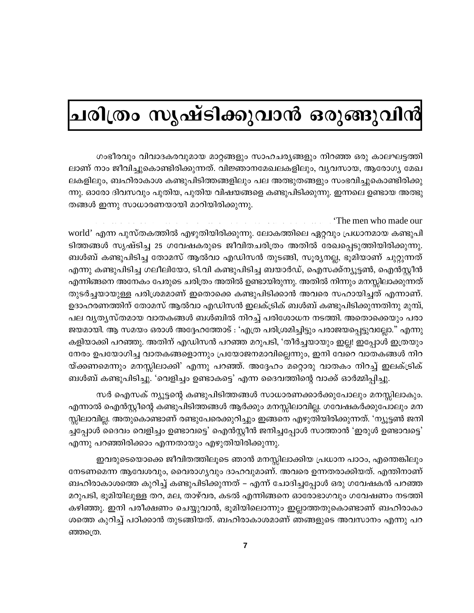## ചരിത്രം സൃഷ്ടിക്കുവാൻ ഒരുങ്ങുവിൻ

ഗംഭീരവും വിവാദകരവുമായ മാറ്റങ്ങളും സാഹചര്യങ്ങളും നിറഞ്ഞ ഒരു കാലഘട്ടത്തി ലാണ് നാം ജീവിച്ചുകൊണ്ടിരിക്കുന്നത്. വിജ്ഞാനമേഖലകളിലും, വൃവസായ, ആരോഗ്യ മേഖ ലകളിലും, ബഹിരാകാശ കണ്ടുപിടിത്തങ്ങളിലും പല അത്ഭുതങ്ങളും സംഭവിച്ചുകൊണ്ടിരിക്കു ന്നു. ഓരോ ദിവസവും പുതിയ, പുതിയ വിഷയങ്ങളെ കണ്ടുപിടിക്കുന്നു. ഇന്നലെ ഉണ്ടായ അത്ഭു തങ്ങൾ ഇന്നു സാധാരണയായി മാറിയിരിക്കുന്നു.

'The men who made our world' എന്ന പുസ്തകത്തിൽ എഴുതിയിരിക്കുന്നു. ലോകത്തിലെ ഏറ്റവും പ്രധാനമായ കണ്ടുപി ടിത്തങ്ങൾ സൃഷ്ടിച്ച 25 ഗവേഷകരുടെ ജീവിതചരിത്രം അതിൽ രേഖപ്പെടുത്തിയിരിക്കുന്നു. ബൾബ് കണ്ടുപിടിച്ച തോമസ് ആൽവാ എഡിസൻ തുടങ്ങി, സുര്യനല്ല, ഭൂമിയാണ് ചുറ്റുന്നത് എന്നു കണ്ടുപിടിച്ച ഗലീലിയോ, ടി.വി കണ്ടുപിടിച്ച ബയാർഡ്, ഐസക്ക്ന്യൂട്ടൺ, ഐൻസ്റ്റീൻ എന്നിങ്ങനെ അനേകം പേരുടെ ചരിത്രം അതിൽ ഉണ്ടായിരുന്നു. അതിൽ നിന്നും മനസ്സിലാക്കുന്നത് തുടർച്ചയായുള്ള പരിശ്രമമാണ് ഇതൊക്കെ കണ്ടുപിടിക്കാൻ അവരെ സഹായിച്ചത് എന്നാണ്. ഉദാഹരണത്തിന് തോമസ് ആൽവാ എഡിസൻ ഇലക്ട്രിക് ബൾബ് കണ്ടുപിടിക്കുന്നതിനു മുമ്പ്, പല വ്യത്യസ്തമായ വാതകങ്ങൾ ബൾബിൽ നിറച്ച് പരിശോധന നടത്തി. അതൊക്കെയും പരാ ജയമായി. ആ സമയം ഒരാൾ അദ്ദേഹത്തോട് : 'എത്ര പരിശ്രമിച്ചിട്ടും പരാജയപ്പെട്ടുവല്ലോ." എന്നു കളിയാക്കി പറഞ്ഞു. അതിന് എഡിസൻ പറഞ്ഞ മറുപടി, 'തീർച്ചയായും ഇല്ല! ഇപ്പോൾ ഇത്രയും നേരം ഉപയോഗിച്ച വാതകങ്ങളൊന്നും പ്രയോജനമാവില്ലെന്നും, ഇനി വേറെ വാതകങ്ങൾ നിറ യ്ക്കണമെന്നും മനസ്സിലാക്കി' എന്നു പറഞ്ഞ്. അദ്ദേഹം മറ്റൊരു വാതകം നിറച്ച് ഇലക്ട്രിക് ബൾബ് കണ്ടുപിടിച്ചു. 'വെളിച്ചം ഉണ്ടാകട്ടെ' എന്ന ദൈവത്തിന്റെ വാക്ക് ഓർമ്മിപ്പിച്ചു.

സർ ഐസക് ന്യൂട്ടന്റെ കണ്ടുപിടിത്തങ്ങൾ സാധാരണക്കാർക്കുപോലും മനസ്സിലാകും. എന്നാൽ ഐൻസ്റ്റീന്റെ കണ്ടുപിടിത്തങ്ങൾ ആർക്കും മനസ്സിലാവില്ല. ഗവേഷകർക്കുപോലും മന സ്സിലാവില്ല. അതുകൊണ്ടാണ് രണ്ടുപേരെക്കുറിച്ചും ഇങ്ങനെ എഴുതിയിരിക്കുന്നത്. 'ന്യൂട്ടൺ ജനി ച്ചപ്പോൾ ദൈവം വെളിച്ചം ഉണ്ടാവട്ടെ' ഐൻസ്റ്റീൻ ജനിച്ചപ്പോൾ സാത്താൻ 'ഇരുൾ ഉണ്ടാവട്ടെ' എന്നു പറഞ്ഞിരിക്കാം എന്നതായും എഴുതിയിരിക്കുന്നു.

ഇവരുടെയൊക്കെ ജീവിതത്തിലൂടെ ഞാൻ മനസ്സിലാക്കിയ പ്രധാന പാഠം, എന്തെങ്കിലും നേടണമെന്ന ആവേശവും, വൈരാഗൃവും ദാഹവുമാണ്. അവരെ ഉന്നതരാക്കിയത്. എന്തിനാണ് ബഹിരാകാശത്തെ കുറിച്ച് കണ്ടുപിടിക്കുന്നത് – എന്ന് ചോദിച്ചപ്പോൾ ഒരു ഗവേഷകൻ പറഞ്ഞ മറുപടി, ഭൂമിയിലുള്ള തറ, മല, താഴ്വര, കടൽ എന്നിങ്ങനെ ഓരോഭാഗവും ഗവേഷണം നടത്തി കഴിഞ്ഞു. ഇനി പരീക്ഷണം ചെയ്യുവാൻ, ഭൂമിയിലൊന്നും ഇല്ലാത്തതുകൊണ്ടാണ് ബഹിരാകാ ശത്തെ കുറിച്ച് പഠിക്കാൻ തുടങ്ങിയത്. ബഹിരാകാശമാണ് ഞങ്ങളുടെ അവസാനം എന്നു പറ ഞ്ഞത്രെ.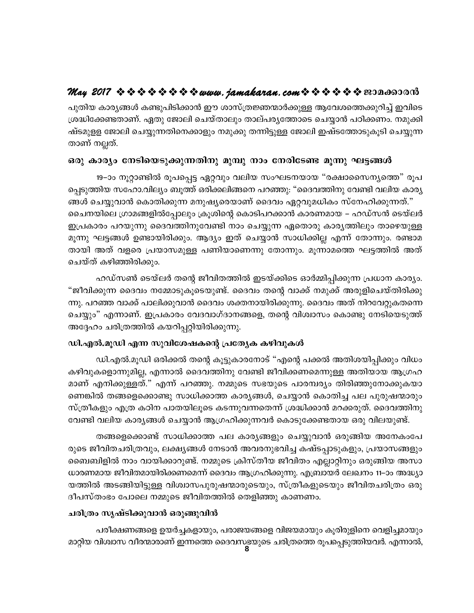പുതിയ കാര്യങ്ങൾ കണ്ടുപിടിക്കാൻ ഈ ശാസ്ത്രജ്ഞന്മാർക്കുള്ള ആവേശത്തെക്കുറിച്ച് ഇവിടെ ശ്രദ്ധിക്കേണ്ടതാണ്. ഏതു ജോലി ചെയ്താലും താല്പര്യത്തോടെ ചെയ്യാൻ പഠിക്കണം. നമുക്കി ഷ്ടമുളള ജോലി ചെയ്യുന്നതിനെക്കാളും നമുക്കു തന്നിട്ടുള്ള ജോലി ഇഷ്ടത്തോടുകൂടി ചെയ്യുന്ന താണ് നല്ലത്.

### ഒരു കാര്യം നേടിയെടുക്കുന്നതിനു മുമ്പു നാം നേരിടേണ്ട മൂന്നു ഘട്ടങ്ങൾ

19–ാം നൂറ്റാണ്ടിൽ രൂപപ്പെട്ട ഏറ്റവും വലിയ സംഘടനയായ "രക്ഷാസൈന്യത്തെ" രൂപ പ്പെടുത്തിയ സഹോ.വില്യം ബൂത്ത് ഒരിക്കലിങ്ങനെ പറഞ്ഞു: "ദൈവത്തിനു വേണ്ടി വലിയ കാര്യ ങ്ങൾ ചെയ്യുവാൻ കൊതിക്കുന്ന മനുഷ്യരെയാണ് ദൈവം ഏറ്റവുമധികം സ്നേഹിക്കുന്നത്." ചൈനയിലെ ഗ്രാമങ്ങളിൽപ്പോലും ക്രുശിന്റെ കൊടിപറക്കാൻ കാരണമായ – ഹഡ്സൻ ടെയ്ലർ ഇപ്രകാരം പറയുന്നു ദൈവത്തിനുവേണ്ടി നാം ചെയ്യുന്ന ഏതൊരു കാര്യത്തിലും താഴെയുള്ള മൂന്നു ഘട്ടങ്ങൾ ഉണ്ടായിരിക്കും. ആദ്യം ഇത് ചെയ്യാൻ സാധിക്കില്ല എന്ന് തോന്നും. രണ്ടാമ തായി അത് വളരെ പ്രയാസമുള്ള പണിയാണെന്നു തോന്നും. മൂന്നാമത്തെ ഘട്ടത്തിൽ അത് ചെയ്ത് കഴിഞ്ഞിരിക്കും.

ഹഡ്സൺ ടെയ്ലർ തന്റെ ജീവിതത്തിൽ ഇടയ്ക്കിടെ ഓർമ്മിപ്പിക്കുന്ന പ്രധാന കാര്യം. "ജീവിക്കുന്ന ദൈവം നമ്മോടുകൂടെയുണ്ട്. ദൈവം തന്റെ വാക്ക് നമുക്ക് അരുളിചെയ്തിരിക്കു ന്നു. പറഞ്ഞ വാക്ക് പാലിക്കുവാൻ ദൈവം ശക്തനായിരിക്കുന്നു. ദൈവം അത് നിറവേറ്റുകതന്നെ ചെയ്യും" എന്നാണ്. ഇപ്രകാരം വേദവാഗ്ദാനങ്ങളെ, തന്റെ വിശ്വാസം കൊണ്ടു നേടിയെടുത്ത് അദ്ദേഹം ചരിത്രത്തിൽ കയറിപ്പറ്റിയിരിക്കുന്നു.

### ഡി.എൽ.മൂഡി എന്ന സുവിശേഷകന്റെ പ്രത്യേക കഴിവുകൾ

ഡി.എൽ.മൂഡി ഒരിക്കൽ തന്റെ കൂട്ടുകാരനോട് "എന്റെ പക്കൽ അതിശയിപ്പിക്കും വിധം കഴിവുകളൊന്നുമില്ല, എന്നാൽ ദൈവത്തിനു വേണ്ടി ജീവിക്കണമെന്നുള്ള അതിയായ ആഗ്രഹ മാണ് എനിക്കുള്ളത്." എന്ന് പറഞ്ഞു. നമ്മുടെ സഭയുടെ പാരമ്പര്യം തിരിഞ്ഞുനോക്കുകയാ ണെങ്കിൽ തങ്ങളെക്കൊണ്ടു സാധിക്കാത്ത കാര്യങ്ങൾ, ചെയ്യാൻ കൊതിച്ച പല പുരുഷന്മാരും സ്ത്രീകളും എത്ര കഠിന പാതയിലൂടെ കടന്നുവന്നതെന്ന് ശ്രദ്ധിക്കാൻ മറക്കരുത്. ദൈവത്തിനു വേണ്ടി വലിയ കാര്യങ്ങൾ ചെയ്യാൻ ആഗ്രഹിക്കുന്നവർ കൊടുക്കേണ്ടതായ ഒരു വിലയുണ്ട്.

തങ്ങളെക്കൊണ്ട് സാധിക്കാത്ത പല കാര്യങ്ങളും ചെയ്യുവാൻ ഒരുങ്ങിയ അനേകംപേ രുടെ ജീവിതചരിത്രവും, ലക്ഷ്യങ്ങൾ നേടാൻ അവരനുഭവിച്ച കഷ്ടപ്പാടുകളും, പ്രയാസങ്ങളും ബൈബിളിൽ നാം വായിക്കാറുണ്ട്. നമ്മുടെ ക്രിസ്തീയ ജീവിതം എല്ലാറ്റിനും ഒരുങ്ങിയ അസാ ധാരണമായ ജീവിതമായിരിക്കണമെന്ന് ദൈവം ആഗ്രഹിക്കുന്നു. എബ്രായർ ലേഖനം 11–ാം അദ്ധ്യാ യത്തിൽ അടങ്ങിയിട്ടുള്ള വിശ്വാസപുരുഷന്മാരുടെയും, സ്ത്രീകളുടെയും ജീവിതചരിത്രം ഒരു ദീപസ്തംഭം പോലെ നമ്മുടെ ജീവിതത്തിൽ തെളിഞ്ഞു കാണണം.

#### ചരിത്രം സൃഷ്ടിക്കുവാൻ ഒരുങ്ങുവിൻ

പരീക്ഷണങ്ങളെ ഉയർച്ചകളായും, പരാജയങ്ങളെ വിജയമായും കൂരിരുളിനെ വെളിച്ചമായും മാറ്റിയ വിശ്വാസ വീരന്മാരാണ് ഇന്നത്തെ ദൈവസഭയുടെ ചരിത്രത്തെ രൂപപ്പെടുത്തിയവർ. എന്നാൽ,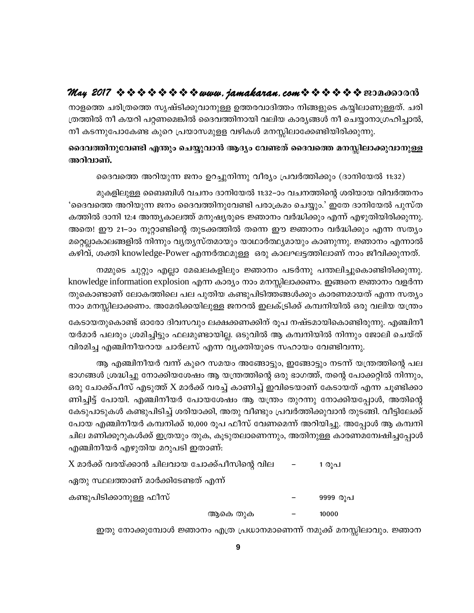നാളത്തെ ചരിത്രത്തെ സൃഷ്ടിക്കുവാനുള്ള ഉത്തരവാദിത്തം നിങ്ങളുടെ കയ്യിലാണുള്ളത്. ചരി ത്രത്തിൽ നീ കയറി പറ്റണമെങ്കിൽ ദൈവത്തിനായി വലിയ കാര്യങ്ങൾ നീ ചെയ്യാനാഗ്രഹിച്ചാൽ, നീ കടന്നുപോകേണ്ട കുറെ പ്രയാസമുളള വഴികൾ മനസ്സിലാക്കേണ്ടിയിരിക്കുന്നു.

### ദൈവത്തിനുവേണ്ടി എന്തും ചെയ്യുവാൻ ആദ്യം വേണ്ടത് ദൈവത്തെ മനസ്സിലാക്കുവാനുള്ള അറിവാണ്.

ദൈവത്തെ അറിയുന്ന ജനം ഉറച്ചുനിന്നു വീര്യം പ്രവർത്തിക്കും (ദാനിയേൽ 11:32)

മുകളിലുള്ള ബൈബിൾ വചനം ദാനിയേൽ 11:32–ാം വചനത്തിന്റെ ശരിയായ വിവർത്തനം 'ദൈവത്തെ അറിയുന്ന ജനം ദൈവത്തിനുവേണ്ടി പരാക്രമം ചെയ്യും.' ഇതേ ദാനിയേൽ പുസ്ത കത്തിൽ ദാനി 12:4 അന്ത്യകാലത്ത് മനുഷ്യരുടെ ജ്ഞാനം വർദ്ധിക്കും എന്ന് എഴുതിയിരിക്കുന്നു. അതെ! ഈ 21–ാം നൂറ്റാണ്ടിന്റെ തുടക്കത്തിൽ തന്നെ ഈ ജ്ഞാനം വർദ്ധിക്കും എന്ന സതൃം മറ്റെല്ലാകാലങ്ങളിൽ നിന്നും വൃതൃസ്തമായും യാഥാർത്ഥ്യമായും കാണുന്നു. ജ്ഞാനം എന്നാൽ കഴിവ്, ശക്തി knowledge-Power എന്നർത്ഥമുള്ള ഒരു കാലഘട്ടത്തിലാണ് നാം ജീവിക്കുന്നത്.

നമ്മുടെ ചുറ്റും എല്ലാ മേഖലകളിലും ജ്ഞാനം പടർന്നു പന്തലിച്ചുകൊണ്ടിരിക്കുന്നു. knowledge information explosion എന്ന കാര്യം നാം മനസ്സിലാക്കണം. ഇങ്ങനെ ജ്ഞാനം വളർന്ന തുകൊണ്ടാണ് ലോകത്തിലെ പല പുതിയ കണ്ടുപിടിത്തങ്ങൾക്കും കാരണമായത് എന്ന സത്യം നാം മനസ്സിലാക്കണം. അമേരിക്കയിലുള്ള ജനറൽ ഇലക്ട്രിക്ക് കമ്പനിയിൽ ഒരു വലിയ യന്ത്രം

കേടായതുകൊണ്ട് ഓരോ ദിവസവും ലക്ഷക്കണക്കിന് രൂപ നഷ്ടമായികൊണ്ടിരുന്നു. എഞ്ചിനീ യർമാർ പലരും ശ്രമിച്ചിട്ടും ഫലമുണ്ടായില്ല. ഒടുവിൽ ആ കമ്പനിയിൽ നിന്നും ജോലി ചെയ്ത് വിരമിച്ച എഞ്ചിനീയറായ ചാർലസ് എന്ന വൃക്തിയുടെ സഹായം വേണ്ടിവന്നു.

ആ എഞ്ചിനീയർ വന്ന് കുറെ സമയം അങ്ങോട്ടും, ഇങ്ങോട്ടും നടന്ന് യന്ത്രത്തിന്റെ പല ഭാഗങ്ങൾ ശ്രദ്ധിച്ചു നോക്കിയശേഷം ആ യന്ത്രത്തിന്റെ ഒരു ഭാഗത്ത്, തന്റെ പോക്കറ്റിൽ നിന്നും, ഒരു ചോക്ക്പീസ് എടുത്ത് X മാർക്ക് വരച്ച് കാണിച്ച് ഇവിടെയാണ് കേടായത് എന്ന ചുണ്ടിക്കാ ണിച്ചിട്ട് പോയി. എഞ്ചിനീയർ പോയശേഷം ആ യന്ത്രം തുറന്നു നോക്കിയപ്പോൾ, അതിന്റെ കേടുപാടുകൾ കണ്ടുപിടിച്ച് ശരിയാക്കി, അതു വീണ്ടും പ്രവർത്തിക്കുവാൻ തുടങ്ങി. വീട്ടിലേക്ക് പോയ എഞ്ചിനീയർ കമ്പനിക്ക് 10,000 രൂപ ഫീസ് വേണമെന്ന് അറിയിച്ചു. അപ്പോൾ ആ കമ്പനി ചില മണിക്കൂറുകൾക്ക് ഇത്രയും തുക, കൂടുതലാണെന്നും, അതിനുള്ള കാരണമന്വേഷിച്ചപ്പോൾ എഞ്ചിനീയർ എഴുതിയ മറുപടി ഇതാണ്:

|                                                 | ആകെ തുക | 10000    |
|-------------------------------------------------|---------|----------|
| കണ്ടുപിടിക്കാനുള്ള ഫീസ്                         |         | 9999 രൂപ |
| ഏതു സ്ഥലത്താണ് മാർക്കിടേണ്ടത് എന്ന്             |         |          |
| $X$ മാർക്ക് വരയ്ക്കാൻ ചിലവായ ചോക്ക്പീസിന്റെ വില |         | 1 രൂപ    |

ഇതു നോക്കുമ്പോൾ ജ്ഞാനം എത്ര പ്രധാനമാണെന്ന് നമുക്ക് മനസ്സിലാവും. ജ്ഞാന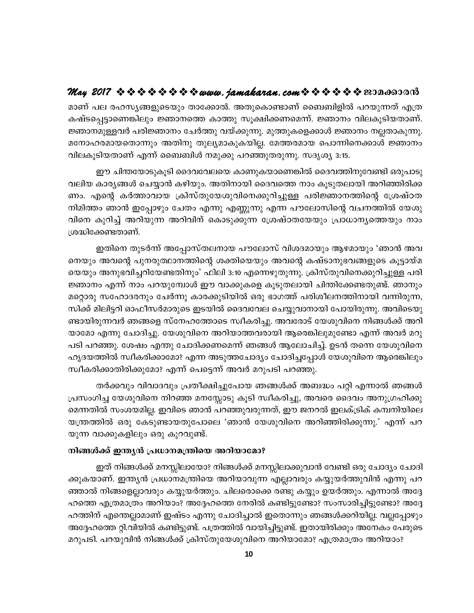മാണ് പല രഹസ്യങ്ങളുടെയും താക്കോൽ. അതുകൊണ്ടാണ് ബൈബിളിൽ പറയുന്നത് എത്ര കഷ്ടപ്പെട്ടാണെങ്കിലും ജ്ഞാനത്തെ കാത്തു സൂക്ഷിക്കണമെന്ന്. ജ്ഞാനം വിലകൂടിയതാണ്. ജ്ഞാനമുള്ളവർ പരിജ്ഞാനം ചേർത്തു വയ്ക്കുന്നു. മുത്തുകളെക്കാൾ ജ്ഞാനം നല്ലതാകുന്നു. മനോഹരമായതൊന്നും അതിനു തുല്യമാകുകയില്ല. മേത്തരമായ പൊന്നിനെക്കാൾ ജ്ഞാനം വിലകൂടിയതാണ് എന്ന് ബൈബിൾ നമുക്കു പറഞ്ഞുതരുന്നു. സദൃശ്യ 3:15.

ഈ ചിന്തയോടുകൂടി ദൈവവേലയെ കാണുകയാണെങ്കിൽ ദൈവത്തിനുവേണ്ടി ഒരുപാടു വലിയ കാര്യങ്ങൾ ചെയ്യാൻ കഴിയും. അതിനായി ദൈവത്തെ നാം കൂടുതലായി അറിഞ്ഞിരിക്ക ണം. എന്റെ കർത്താവായ ക്രിസ്തുയേശുവിനെക്കുറിച്ചുള്ള പരിജ്ഞാനത്തിന്റെ ശ്രേഷ്ഠത നിമിത്തം ഞാൻ ഇപ്പോഴും ചേതം എന്നു എണ്ണുന്നു എന്ന പൗലോസിന്റെ വചനത്തിൽ യേശു വിനെ കുറിച്ച് അറിയുന്ന അറിവിന് കൊടുക്കുന്ന ശ്രേഷ്ഠതയേയും പ്രാധാന്യത്തെയും നാം ശ്രദ്ധിക്കേണ്ടതാണ്.

ഇതിനെ തുടർന്ന് അപ്പോസ്തലനായ പൗലോസ് വിശദമായും ആഴമായും 'ഞാൻ അവ നെയും അവന്റെ പുനരുത്ഥാനത്തിന്റെ ശക്തിയെയും അവന്റെ കഷ്ടാനുഭവങ്ങളുടെ കൂട്ടായ്മ യെയും അനുഭവിച്ചറിയേണ്ടതിനും' ഫിലി 3:10 എന്നെഴുതുന്നു. ക്രിസ്തുവിനെക്കുറിച്ചുള്ള പരി ജ്ഞാനം എന്ന് നാം പറയുമ്പോൾ ഈ വാക്കുകളെ കൂടുതലായി ചിന്തിക്കേണ്ടതുണ്ട്. ഞാനും മറ്റൊരു സഹോദരനും ചേർന്നു കാരക്കുടിയിൽ ഒരു ഭാഗത്ത് പരിശീലനത്തിനായി വന്നിരുന്ന, സിക്ക് മിലിട്ടറി ഓഫീസർമാരുടെ ഇടയിൽ ദൈവവേല ചെയ്യുവാനായി പോയിരുന്നു. അവിടെയു ണ്ടായിരുന്നവർ ഞങ്ങളെ സ്നേഹത്തോടെ സ്വീകരിച്ചു. അവരോട് യേശുവിനെ നിങ്ങൾക്ക് അറി യാമോ എന്നു ചോദിച്ചു. യേശുവിനെ അറിയാത്തവരായി ആരെങ്കിലുമുണ്ടോ എന്ന് അവർ മറു പടി പറഞ്ഞു. ശേഷം എന്തു ചോദിക്കണമെന്ന് ഞങ്ങൾ ആലോചിച്ച്. ഉടൻ തന്നെ യേശുവിനെ ഹൃദയത്തിൽ സ്വീകരിക്കാമോ? എന്ന അടുത്തചോദ്യം ചോദിച്ചപ്പോൾ യേശുവിനെ ആരെങ്കിലും സ്വീകരിക്കാതിരിക്കുമോ? എന്ന് പെട്ടെന്ന് അവർ മറുപടി പറഞ്ഞു.

തർക്കവും വിവാദവും പ്രതീക്ഷിച്ചുപോയ ഞങ്ങൾക്ക് അബദ്ധം പറ്റി എന്നാൽ ഞങ്ങൾ പ്രസംഗിച്ച യേശുവിനെ നിറഞ്ഞ മനസ്സോടു കൂടി സ്വീകരിച്ചു, അവരെ ദൈവം അനുഗ്രഹിക്കു മെന്നതിൽ സംശയമില്ല. ഇവിടെ ഞാൻ പറഞ്ഞുവരുന്നത്, ഈ ജനറൽ ഇലക്ട്രിക് കമ്പനിയിലെ യന്ത്രത്തിൽ ഒരു കേടുണ്ടായതുപോലെ 'ഞാൻ യേശുവിനെ അറിഞ്ഞിരിക്കുന്നു.' എന്ന് പറ യുന്ന വാക്കുകളിലും ഒരു കുറവുണ്ട്.

#### നിങ്ങൾക്ക് ഇന്ത്യൻ പ്രധാനമന്ത്രിയെ അറിയാമോ?

ഇത് നിങ്ങൾക്ക് മനസ്സിലായോ? നിങ്ങൾക്ക് മനസ്സിലാക്കുവാൻ വേണ്ടി ഒരു ചോദ്യം ചോദി ക്കുകയാണ്. ഇന്ത്യൻ പ്രധാനമന്ത്രിയെ അറിയാവുന്ന എല്ലാവരും കയ്യുയർത്തുവിൻ എന്നു പറ ഞ്ഞാൽ നിങ്ങളെല്ലാവരും കയ്യുയർത്തും. ചിലരൊക്കെ രണ്ടു കയ്യും ഉയർത്തും. എന്നാൽ അദ്ദേ ഹത്തെ എത്രമാത്രം അറിയാം? അദ്ദേഹത്തെ നേരിൽ കണ്ടിട്ടുണ്ടോ? സംസാരിച്ചിട്ടുണ്ടോ? അദ്ദേ ഹത്തിന് എന്തെല്ലാമാണ് ഇഷ്ടം എന്നു ചോദിച്ചാൽ ഇതൊന്നും ഞങ്ങൾക്കറിയില്ല. വല്ലപ്പോഴും അദ്ദേഹത്തെ റ്റി.വിയിൽ കണ്ടിട്ടുണ്ട്. പത്രത്തിൽ വായിച്ചിട്ടുണ്ട്. ഇതായിരിക്കും അനേകം പേരുടെ മറുപടി. പറയുവിൻ നിങ്ങൾക്ക് ക്രിസ്തുയേശുവിനെ അറിയാമോ? എത്രമാത്രം അറിയാം?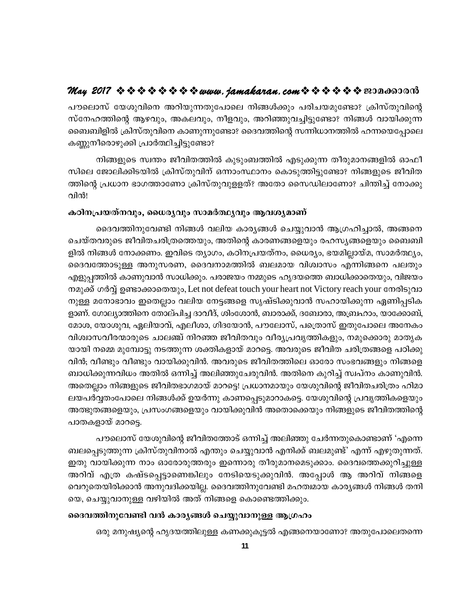## May 2017  $\Leftrightarrow \diamond \diamond \diamond \diamond \diamond \diamond \diamond \leadsto www.$  jamakaran.com  $\Leftrightarrow \diamond \diamond \diamond \diamond \diamond \diamond \circ \circ \circ \circ \circ \circ \circ \circ$

പൗലൊസ് യേശുവിനെ അറിയുന്നതുപോലെ നിങ്ങൾക്കും പരിചയമുണ്ടോ? ക്രിസ്തുവിന്റെ സ്നേഹത്തിന്റെ ആഴവും, അകലവും, നീളവും, അറിഞ്ഞുവച്ചിട്ടുണ്ടോ? നിങ്ങൾ വായിക്കുന്ന ബൈബിളിൽ ക്രിസ്തുവിനെ കാണുന്നുണ്ടോ? ദൈവത്തിന്റെ സന്നിധാനത്തിൽ ഹന്നയെപ്പോലെ കണ്ണുനീരൊഴുക്കി പ്രാർത്ഥിച്ചിട്ടുണ്ടോ?

നിങ്ങളുടെ സ്വന്തം ജീവിതത്തിൽ കുടുംബത്തിൽ എടുക്കുന്ന തീരുമാനങ്ങളിൽ ഓഫീ സിലെ ജോലിക്കിടയിൽ ക്രിസ്തുവിന് ഒന്നാംസ്ഥാനം കൊടുത്തിട്ടുണ്ടോ? നിങ്ങളുടെ ജീവിത ത്തിന്റെ പ്രധാന ഭാഗത്താണോ ക്രിസ്തുവുളളത്? അതോ സൈഡിലാണോ? ചിന്തിച്ച് നോക്കു വിൻ!

#### കഠിനപ്രയത്നവും, ധൈര്യവും സാമർത്ഥ്യവും ആവശ്യമാണ്

ദൈവത്തിനുവേണ്ടി നിങ്ങൾ വലിയ കാര്യങ്ങൾ ചെയ്യുവാൻ ആഗ്രഹിച്ചാൽ, അങ്ങനെ ചെയ്തവരുടെ ജീവിതചരിത്രത്തെയും, അതിന്റെ കാരണങ്ങളെയും രഹസ്യങ്ങളെയും ബൈബി ളിൽ നിങ്ങൾ നോക്കണം. ഇവിടെ ത്യാഗം, കഠിനപ്രയത്നം, ധൈര്യം, ഭയമില്ലായ്മ, സാമർത്ഥ്യം, ദൈവത്തോടുള്ള അനുസരണ, ദൈവനാമത്തിൽ ബലമായ വിശ്വാസം എന്നിങ്ങനെ പലതും എളുപ്പത്തിൽ കാണുവാൻ സാധിക്കും. പരാജയം നമ്മുടെ ഹൃദയത്തെ ബാധിക്കാതെയും, വിജയം നമുക്ക് ഗർവ്വ് ഉണ്ടാക്കാതെയും, Let not defeat touch your heart not Victory reach your നേരിടുവാ നുള്ള മനോഭാവം ഇതെല്ലാം വലിയ നേട്ടങ്ങളെ സൃഷ്ടിക്കുവാൻ സഹായിക്കുന്ന ഏണിപ്പടിക ളാണ്. ഗോല്യാത്തിനെ തോല്പിച്ച ദാവീദ്, ശിംശോൻ, ബാരാക്ക്, ദബോരാ, അബ്രഹാം, യാക്കോബ്, മോശ, യോശുവ, ഏലിയാവ്, എലീശാ, ഗിദയോൻ, പൗലോസ്, പത്രൊസ് ഇതുപോലെ അനേകം വിശ്വാസവീരന്മാരുടെ ചാലഞ്ച് നിറഞ്ഞ ജീവിതവും വീര്യപ്രവൃത്തികളും, നമുക്കൊരു മാതൃക യായി നമ്മെ മുമ്പോട്ടു നടത്തുന്ന ശക്തികളായ് മാറട്ടെ. അവരുടെ ജീവിത ചരിത്രങ്ങളെ പഠിക്കു വിൻ; വീണ്ടും വീണ്ടും വായിക്കുവിൻ. അവരുടെ ജീവിതത്തിലെ ഓരോ സംഭവങ്ങളും നിങ്ങളെ ബാധിക്കുന്നവിധം അതിൽ ഒന്നിച്ച് അലിഞ്ഞുചേരുവിൻ. അതിനെ കുറിച്ച് സ്വപ്നം കാണുവിൻ. അതെല്ലാം നിങ്ങളുടെ ജീവിതഭാഗമായ് മാറട്ടെ! പ്രധാനമായും യേശുവിന്റെ ജീവിതചരിത്രം ഹിമാ ലയപർവ്വതംപോലെ നിങ്ങൾക്ക് ഉയർന്നു കാണപ്പെടുമാറാകട്ടെ. യേശുവിന്റെ പ്രവൃത്തികളെയും അത്ഭുതങ്ങളെയും, പ്രസംഗങ്ങളെയും വായിക്കുവിൻ അതൊക്കെയും നിങ്ങളുടെ ജീവിതത്തിന്റെ പാതകളായ് മാറട്ടെ.

പൗലൊസ് യേശുവിന്റെ ജീവിതത്തോട് ഒന്നിച്ച് അലിഞ്ഞു ചേർന്നതുകൊണ്ടാണ് 'എന്നെ ബലപ്പെടുത്തുന്ന ക്രിസ്തുവിനാൽ എന്തും ചെയ്യുവാൻ എനിക്ക് ബലമുണ്ട്' എന്ന് എഴുതുന്നത്. ഇതു വായിക്കുന്ന നാം ഓരോരുത്തരും ഇന്നൊരു തീരുമാനമെടുക്കാം. ദൈവത്തെക്കുറിച്ചുള്ള അറിവ് എത്ര കഷ്ടപ്പെട്ടാണെങ്കിലും നേടിയെടുക്കുവിൻ. അപ്പോൾ ആ അറിവ് നിങ്ങളെ വെറുതെയിരിക്കാൻ അനുവദിക്കയില്ല. ദൈവത്തിനുവേണ്ടി മഹത്വമായ കാര്യങ്ങൾ നിങ്ങൾ തനി യെ, ചെയ്യുവാനുള്ള വഴിയിൽ അത് നിങ്ങളെ കൊണ്ടെത്തിക്കും.

#### ദൈവത്തിനുവേണ്ടി വൻ കാര്യങ്ങൾ ചെയ്യുവാനുള്ള ആഗ്രഹം

ഒരു മനുഷ്യന്റെ ഹൃദയത്തിലുള്ള കണക്കുകൂട്ടൽ എങ്ങനെയാണോ? അതുപോലെതന്നെ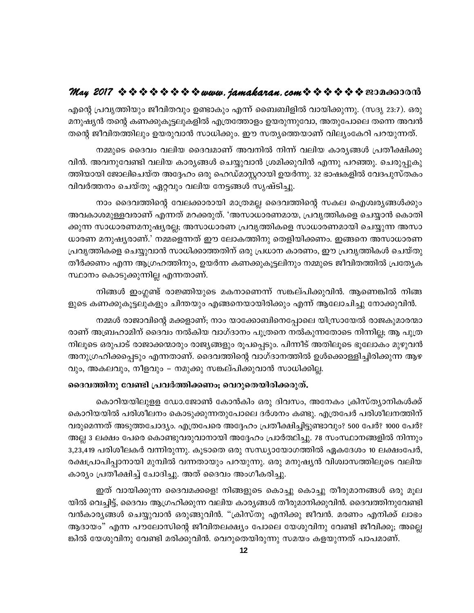എന്റെ പ്രവൃത്തിയും ജീവിതവും ഉണ്ടാകും എന്ന് ബൈബിളിൽ വായിക്കുന്നു. (സദൃ 23:7). ഒരു മനുഷ്യൻ തന്റെ കണക്കുകൂട്ടലുകളിൽ എത്രത്തോളം ഉയരുന്നുവോ, അതുപോലെ തന്നെ അവൻ തന്റെ ജീവിതത്തിലും ഉയരുവാൻ സാധിക്കും. ഈ സത്യത്തെയാണ് വില്യംകേറി പറയുന്നത്.

നമ്മുടെ ദൈവം വലിയ ദൈവമാണ് അവനിൽ നിന്ന് വലിയ കാര്യങ്ങൾ പ്രതീക്ഷിക്കു വിൻ. അവനുവേണ്ടി വലിയ കാര്യങ്ങൾ ചെയ്യുവാൻ ശ്രമിക്കുവിൻ എന്നു പറഞ്ഞു. ചെരുപ്പുകു ത്തിയായി ജോലിചെയ്ത അദ്ദേഹം ഒരു ഹെഡ്മാസ്റ്ററായി ഉയർന്നു. 32 ഭാഷകളിൽ വേദപുസ്തകം വിവർത്തനം ചെയ്തു ഏറ്റവും വലിയ നേട്ടങ്ങൾ സൃഷ്ടിച്ചു.

നാം ദൈവത്തിന്റെ വേലക്കാരായി മാത്രമല്ല ദൈവത്തിന്റെ സകല ഐശ്വര്യങ്ങൾക്കും അവകാശമുള്ളവരാണ് എന്നത് മറക്കരുത്. 'അസാധാരണമായ, പ്രവൃത്തികളെ ചെയ്യാൻ കൊതി ക്കുന്ന സാധാരണമനുഷ്യരല്ല; അസാധാരണ പ്രവൃത്തികളെ സാധാരണമായി ചെയ്യുന്ന അസാ ധാരണ മനുഷ്യരാണ്.' നമ്മളെന്നത് ഈ ലോകത്തിനു തെളിയിക്കണം. ഇങ്ങനെ അസാധാരണ പ്രവൃത്തികളെ ചെയ്യുവാൻ സാധിക്കാത്തതിന് ഒരു പ്രധാന കാരണം, ഈ പ്രവൃത്തികൾ ചെയ്തു തീർക്കണം എന്ന ആഗ്രഹത്തിനും, ഉയർന്ന കണക്കുകൂട്ടലിനും നമ്മുടെ ജീവിതത്തിൽ പ്രത്യേക സ്ഥാനം കൊടുക്കുന്നില്ല എന്നതാണ്.

നിങ്ങൾ ഇംഗ്ലണ്ട് രാജ്ഞിയുടെ മകനാണെന്ന് സങ്കല്പിക്കുവിൻ. ആണെങ്കിൽ നിങ്ങ ളുടെ കണക്കുകൂട്ടലുകളും ചിന്തയും എങ്ങനെയായിരിക്കും എന്ന് ആലോചിച്ചു നോക്കുവിൻ.

നമ്മൾ രാജാവിന്റെ മക്കളാണ്; നാം യാക്കോബിനെപ്പോലെ യിസ്രായേൽ രാജകുമാരന്മാ രാണ് അബ്രഹാമിന് ദൈവം നൽകിയ വാഗ്ദാനം പുത്രനെ നൽകുന്നതോടെ നിന്നില്ല; ആ പുത്ര നിലൂടെ ഒരുപാട് രാജാക്കന്മാരും രാജ്യങ്ങളും രൂപപ്പെടും. പിന്നീട് അതിലൂടെ ഭൂലോകം മുഴുവൻ അനുഗ്രഹിക്കപ്പെടും എന്നതാണ്. ദൈവത്തിന്റെ വാഗ്ദാനത്തിൽ ഉൾക്കൊള്ളിച്ചിരിക്കുന്ന ആഴ വും, അകലവും, നീളവും – നമുക്കു സങ്കല്പിക്കുവാൻ സാധിക്കില്ല.

#### ദൈവത്തിനു വേണ്ടി പ്രവർത്തിക്കണം; വെറുതെയിരിക്കരുത്.

കൊറിയയിലുളള ഡോ.ജോൺ കോൻകിം ഒരു ദിവസം, അനേകം ക്രിസ്ത്യാനികൾക്ക് കൊറിയയിൽ പരിശീലനം കൊടുക്കുന്നതുപോലെ ദർശനം കണ്ടു. എത്രപേർ പരിശീലനത്തിന് വരുമെന്നത് അടുത്തചോദ്യം. എത്രപേരെ അദ്ദേഹം പ്രതീക്ഷിച്ചിട്ടുണ്ടാവും? 500 പേർ? 1000 പേർ? അല്ല 3 ലക്ഷം പേരെ കൊണ്ടുവരുവാനായി അദ്ദേഹം പ്രാർത്ഥിച്ചു. 78 സംസ്ഥാനങ്ങളിൽ നിന്നും 3,23,419 പരിശീലകർ വന്നിരുന്നു. കൂടാതെ ഒരു സന്ധ്യായോഗത്തിൽ ഏകദേശം 10 ലക്ഷംപേർ, രക്ഷപ്രാപിപ്പാനായി മുമ്പിൽ വന്നതായും പറയുന്നു. ഒരു മനുഷ്യൻ വിശ്വാസത്തിലൂടെ വലിയ കാര്യം പ്രതീക്ഷിച്ച് ചോദിച്ചു. അത് ദൈവം അംഗീകരിച്ചു.

ഇത് വായിക്കുന്ന ദൈവമക്കളെ! നിങ്ങളുടെ കൊച്ചു കൊച്ചു തീരുമാനങ്ങൾ ഒരു മൂല യിൽ വെച്ചിട്ട്, ദൈവം ആഗ്രഹിക്കുന്ന വലിയ കാര്യങ്ങൾ തീരുമാനിക്കുവിൻ. ദൈവത്തിനുവേണ്ടി വൻകാര്യങ്ങൾ ചെയ്യുവാൻ ഒരുങ്ങുവിൻ. "ക്രിസ്തു എനിക്കു ജീവൻ. മരണം എനിക്ക് ലാഭം ആദായം" എന്ന പൗലോസിന്റെ ജീവിതലക്ഷ്യം പോലെ യേശുവിനു വേണ്ടി ജീവിക്കൂ; അല്ലെ ങ്കിൽ യേശുവിനു വേണ്ടി മരിക്കുവിൻ. വെറുതെയിരുന്നു സമയം കളയുന്നത് പാപമാണ്.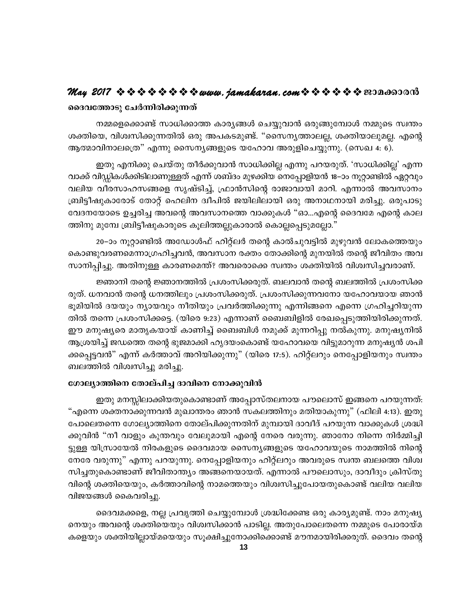#### ദൈവത്തോടു ചേർന്നിരിക്കുന്നത്

നമ്മളെക്കൊണ്ട് സാധിക്കാത്ത കാര്യങ്ങൾ ചെയ്യുവാൻ ഒരുങ്ങുമ്പോൾ നമ്മുടെ സ്വന്തം ശക്തിയെ, വിശ്വസിക്കുന്നതിൽ ഒരു അപകടമുണ്ട്. "സൈനൃത്താലല്ല, ശക്തിയാലുമല്ല. എന്റെ ആത്മാവിനാലത്രെ" എന്നു സൈന്യങ്ങളുടെ യഹോവ അരുളിചെയ്യുന്നു. (സെഖ 4: 6).

ഇതു എനിക്കു ചെയ്തു തീർക്കുവാൻ സാധിക്കില്ല എന്നു പറയരുത്. 'സാധിക്കില്ല' എന്ന വാക്ക് വിഡ്ഡികൾക്കിടിലാണുള്ളത് എന്ന് ശബ്ദം മുഴക്കിയ നെപ്പോളിയൻ 18–ാം നൂറ്റാണ്ടിൽ ഏറ്റവും വലിയ വീരസാഹസങ്ങളെ സൃഷ്ടിച്ച്, ഫ്രാൻസിന്റെ രാജാവായി മാറി. എന്നാൽ അവസാനം ബ്രിട്ടീഷുകാരോട് തോറ്റ് ഹെലിന ദ്വീപിൽ ജയിലിലായി ഒരു അനാഥനായി മരിച്ചു. ഒരുപാടു വേദനയോടെ ഉച്ചരിച്ച അവന്റെ അവസാനത്തെ വാക്കുകൾ "ഓ…എന്റെ ദൈവമേ എന്റെ കാല ത്തിനു മുമ്പേ ബ്രിട്ടീഷുകാരുടെ കൂലിത്തല്ലുകാരാൽ കൊല്ലപ്പെടുമല്ലോ."

20–ാം നൂറ്റാണ്ടിൽ അഡോൾഫ് ഹിറ്റ്ലർ തന്റെ കാൽചുവട്ടിൽ മുഴുവൻ ലോകത്തെയും കൊണ്ടുവരണമെന്നാഗ്രഹിച്ചവൻ, അവസാന രക്തം തോക്കിന്റെ മുനയിൽ തന്റെ ജീവിതം അവ സാനിപ്പിച്ചു. അതിനുള്ള കാരണമെന്ത്? അവരൊക്കെ സ്വന്തം ശക്തിയിൽ വിശ്വസിച്ചവരാണ്.

ജ്ഞാനി തന്റെ ജ്ഞാനത്തിൽ പ്രശംസിക്കരുത്. ബലവാൻ തന്റെ ബലത്തിൽ പ്രശംസിക്ക രുത്. ധനവാൻ തന്റെ ധനത്തിലും പ്രശംസിക്കരുത്. പ്രശംസിക്കുന്നവനോ യഹോവയായ ഞാൻ ഭൂമിയിൽ ദയയും ന്യായവും നീതിയും പ്രവർത്തിക്കുന്നു എന്നിങ്ങനെ എന്നെ ഗ്രഹിച്ചറിയുന്ന തിൽ തന്നെ പ്രശംസിക്കട്ടെ. (യിരെ 9:23) എന്നാണ് ബൈബിളിൽ രേഖപ്പെടുത്തിയിരിക്കുന്നത്. ഈ മനുഷ്യരെ മാതൃകയായ് കാണിച്ച് ബൈബിൾ നമുക്ക് മുന്നറിപ്പു നൽകുന്നു. മനുഷ്യനിൽ ആശ്രയിച്ച് ജഡത്തെ തന്റെ ഭുജമാക്കി ഹൃദയംകൊണ്ട് യഹോവയെ വിട്ടുമാറുന്ന മനുഷ്യൻ ശപി ക്കപ്പെട്ടവൻ" എന്ന് കർത്താവ് അറിയിക്കുന്നു" (യിരെ 17:5). ഹിറ്റ്ലറും നെപ്പോളിയനും സ്വന്തം ബലത്തിൽ വിശ്വസിച്ചു മരിച്ചു.

#### ഗോല്യാത്തിനെ തോല്പിച്ച ദാവിനെ നോക്കുവിൻ

ഇതു മനസ്സിലാക്കിയതുകൊണ്ടാണ് അപ്പോസ്തലനായ പൗലൊസ് ഇങ്ങനെ പറയുന്നത്: "എന്നെ ശക്തനാക്കുന്നവൻ മുഖാന്തരം ഞാൻ സകലത്തിനും മതിയാകുന്നു" (ഫിലി 4:13). ഇതു പോലെതന്നെ ഗോല്യാത്തിനെ തോല്പിക്കുന്നതിന് മുമ്പായി ദാവീദ് പറയുന്ന വാക്കുകൾ ശ്രദ്ധി ക്കുവിൻ "നീ വാളും കുന്തവും വേലുമായി എന്റെ നേരെ വരുന്നു. ഞാനോ നിന്നെ നിർമ്മിച്ചി ട്ടുള്ള യിസ്രായേൽ നിരകളുടെ ദൈവമായ സൈന്യങ്ങളുടെ യഹോവയുടെ നാമത്തിൽ നിന്റെ നേരേ വരുന്നു" എന്നു പറയുന്നു. നെപ്പോളിയനും ഹിറ്റ്ലറും അവരുടെ സ്വന്ത ബലത്തെ വിശ്വ സിച്ചതുകൊണ്ടാണ് ജീവിതാന്ത്യം അങ്ങനെയായത്. എന്നാൽ പൗലൊസും, ദാവീദും ക്രിസ്തു വിന്റെ ശക്തിയെയും, കർത്താവിന്റെ നാമത്തെയും വിശ്വസിച്ചുപോയതുകൊണ്ട് വലിയ വലിയ വിജയങ്ങൾ കൈവരിച്ചു.

ദൈവമക്കളെ, നല്ല പ്രവൃത്തി ചെയ്യുമ്പോൾ ശ്രദ്ധിക്കേണ്ട ഒരു കാര്യമുണ്ട്. നാം മനുഷ്യ നെയും അവന്റെ ശക്തിയെയും വിശ്വസിക്കാൻ പാടില്ല. അതുപോലെതന്നെ നമ്മുടെ പോരായ്മ കളെയും ശക്തിയില്ലായ്മയെയും സൂക്ഷിച്ചുനോക്കിക്കൊണ്ട് മൗനമായിരിക്കരുത്. ദൈവം തന്റെ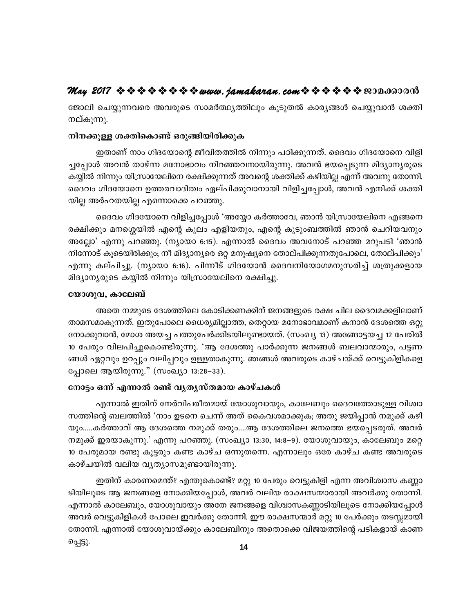ജോലി ചെയ്യുന്നവരെ അവരുടെ സാമർത്ഥ്യത്തിലും കൂടുതൽ കാര്യങ്ങൾ ചെയ്യുവാൻ ശക്തി നല്കുന്നു.

#### നിനക്കുള്ള ശക്തികൊണ്ട് ഒരുങ്ങിയിരിക്കുക

ഇതാണ് നാം ഗിദയോന്റെ ജീവിതത്തിൽ നിന്നും പഠിക്കുന്നത്. ദൈവം ഗിദയോനെ വിളി ച്ചപ്പോൾ അവൻ താഴ്ന്ന മനോഭാവം നിറഞ്ഞവനായിരുന്നു. അവൻ ഭയപ്പെടുന്ന മിദ്യാന്യരുടെ കയ്യിൽ നിന്നും യിസ്രായേലിനെ രക്ഷിക്കുന്നത് അവന്റെ ശക്തിക്ക് കഴിയില്ല എന്ന് അവനു തോന്നി. ദൈവം ഗിദയോനെ ഉത്തരവാദിത്വം ഏല്പിക്കുവാനായി വിളിച്ചപ്പോൾ, അവൻ എനിക്ക് ശക്തി യില്ല അർഹതയില്ല എന്നൊക്കെ പറഞ്ഞു.

ദൈവം ഗിദയോനെ വിളിച്ചപ്പോൾ 'അയ്യോ കർത്താവേ, ഞാൻ യിസ്രായേലിനെ എങ്ങനെ രക്ഷിക്കും മനശ്ശെയിൽ എന്റെ കുലം എളിയതും, എന്റെ കുടുംബത്തിൽ ഞാൻ ചെറിയവനും അല്ലോ' എന്നു പറഞ്ഞു. (ന്യായാ 6:15). എന്നാൽ ദൈവം അവനോട് പറഞ്ഞ മറുപടി 'ഞാൻ നിന്നോട് കൂടെയിരിക്കും; നീ മിദ്യാന്യരെ ഒറ്റ മനുഷ്യനെ തോല്പിക്കുന്നതുപോലെ, തോല്പിക്കും' എന്നു കല്പിച്ചു. (ന്യായാ 6:16). പിന്നീട് ഗിദയോൻ ദൈവനിയോഗമനുസരിച്ച് ശത്രുക്കളായ മിദ്യാന്യരുടെ കയ്യിൽ നിന്നും യിസ്രായേലിനെ രക്ഷിച്ചു.

#### യോശുവ, കാലേബ്

അതെ നമ്മുടെ ദേശത്തിലെ കോടിക്കണക്കിന് ജനങ്ങളുടെ രക്ഷ ചില ദൈവമക്കളിലാണ് താമസമാകുന്നത്. ഇതുപോലെ ധൈര്യമില്ലാത്ത, തെറ്റായ മനോഭാവമാണ് കനാൻ ദേശത്തെ ഒറ്റു നോക്കുവാൻ, മോശ അയച്ച പത്തുപേർക്കിടയിലുണ്ടായത്. (സംഖ്യ 13) അങ്ങോട്ടയച്ച 12 പേരിൽ 10 പേരും വിലപിച്ചുകൊണ്ടിരുന്നു. 'ആ ദേശത്തു പാർക്കുന്ന ജനങ്ങൾ ബലവാന്മാരും, പട്ടണ ങ്ങൾ ഏറ്റവും ഉറപ്പും വലിപ്പവും ഉള്ളതാകുന്നു. ഞങ്ങൾ അവരുടെ കാഴ്ചയ്ക്ക് വെട്ടുകിളികളെ പ്പോലെ ആയിരുന്നു." (സംഖ്യാ 13:28–33).

#### നോട്ടം ഒന്ന് എന്നാൽ രണ്ട് വൃതൃസ്തമായ കാഴ്ചകൾ

എന്നാൽ ഇതിന് നേർവിപരീതമായ് യോശുവായും, കാലേബും ദൈവത്തോടുള്ള വിശ്വാ സത്തിന്റെ ബലത്തിൽ 'നാം ഉടനെ ചെന്ന് അത് കൈവശമാക്കുക; അതു ജയിപ്പാൻ നമുക്ക് കഴി യും.....കർത്താവ് ആ ദേശത്തെ നമുക്ക് തരും....ആ ദേശത്തിലെ ജനത്തെ ഭയപ്പെടരുത്. അവർ നമുക്ക് ഇരയാകുന്നു.' എന്നു പറഞ്ഞു. (സംഖ്യാ 13:30, 14:8–9). യോശുവായും, കാലേബും മറ്റെ 10 പേരുമായ രണ്ടു കൂട്ടരും കണ്ട കാഴ്ച ഒന്നുതന്നെ. എന്നാലും ഒരേ കാഴ്ച കണ്ട അവരുടെ കാഴ്ചയിൽ വലിയ വ്യത്യാസമുണ്ടായിരുന്നു.

ഇതിന് കാരണമെന്ത്? എന്തുകൊണ്ട്? മറ്റു 10 പേരും വെട്ടുകിളി എന്ന അവിശ്വാസ കണ്ണാ ടിയിലൂടെ ആ ജനങ്ങളെ നോക്കിയപ്പോൾ, അവർ വലിയ രാക്ഷസന്മാരായി അവർക്കു തോന്നി. എന്നാൽ കാലേബും, യോശുവായും അതേ ജനങ്ങളെ വിശ്വാസകണ്ണാടിയിലൂടെ നോക്കിയപ്പോൾ അവർ വെട്ടുകിളികൾ പോലെ ഇവർക്കു തോന്നി. ഈ രാക്ഷസന്മാർ മറ്റു 10 പേർക്കും തടസ്സമായി തോന്നി. എന്നാൽ യോശുവായ്ക്കും കാലേബിനും അതൊക്കെ വിജയത്തിന്റെ പടികളായ് കാണ പ്പെട്ടു.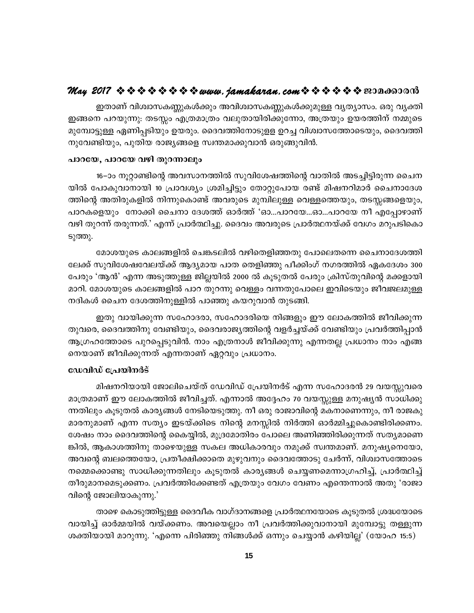ഇതാണ് വിശ്വാസകണ്ണുകൾക്കും അവിശ്വാസകണ്ണുകൾക്കുമുള്ള വൃത്യാസം. ഒരു വൃക്തി ഇങ്ങനെ പറയുന്നു: തടസ്സം എത്രമാത്രം വലുതായിരിക്കുന്നോ, അത്രയും ഉയരത്തിന് നമ്മുടെ മുമ്പോട്ടുള്ള ഏണിപ്പടിയും ഉയരും. ദൈവത്തിനോടുളള ഉറച്ച വിശ്വാസത്തോടെയും, ദൈവത്തി നുവേണ്ടിയും, പുതിയ രാജ്യങ്ങളെ സ്വന്തമാക്കുവാൻ ഒരുങ്ങുവിൻ.

#### പാറയേ, പാറയേ വഴി തുറന്നാലും

16–ാം നൂറ്റാണ്ടിന്റെ അവസാനത്തിൽ സുവിശേഷത്തിന്റെ വാതിൽ അടച്ചിട്ടിരുന്ന ചൈന യിൽ പോകുവാനായി 10 പ്രാവശ്യം ശ്രമിച്ചിട്ടും തോറ്റുപോയ രണ്ട് മിഷനറിമാർ ചൈനാദേശ ത്തിന്റെ അതിരുകളിൽ നിന്നുകൊണ്ട് അവരുടെ മുമ്പിലുള്ള വെള്ളത്തെയും, തടസ്സങ്ങളെയും, പാറകളെയും നോക്കി ചൈനാ ദേശത്ത് ഓർത്ത് 'ഓ...പാറയേ...ഓ...പാറയേ നീ എപ്പോഴാണ് വഴി തുറന്ന് തരുന്നത്.' എന്ന് പ്രാർത്ഥിച്ചു. ദൈവം അവരുടെ പ്രാർത്ഥനയ്ക്ക് വേഗം മറുപടികൊ ടുത്തു.

മോശയുടെ കാലങ്ങളിൽ ചെങ്കടലിൽ വഴിതെളിഞ്ഞതു പോലെതന്നെ ചൈനാദേശത്തി ലേക്ക് സുവിശേഷവേലയ്ക്ക് ആദ്യമായ പാത തെളിഞ്ഞു പീക്കിംഗ് നഗരത്തിൽ ഏകദേശം 300 പേരും 'ആൻ' എന്ന അടുത്തുള്ള ജില്ലയിൽ 2000 ൽ കൂടുതൽ പേരും ക്രിസ്തുവിന്റെ മക്കളായി മാറി. മോശയുടെ കാലങ്ങളിൽ പാറ തുറന്നു വെള്ളം വന്നതുപോലെ ഇവിടെയും ജീവജലമുള്ള നദികൾ ചൈന ദേശത്തിനുള്ളിൽ പാഞ്ഞു കയറുവാൻ തുടങ്ങി.

ഇതു വായിക്കുന്ന സഹോദരാ, സഹോദരിയെ നിങ്ങളും ഈ ലോകത്തിൽ ജീവിക്കുന്ന തുവരെ, ദൈവത്തിനു വേണ്ടിയും, ദൈവരാജ്യത്തിന്റെ വളർച്ചയ്ക്ക് വേണ്ടിയും പ്രവർത്തിപ്പാൻ ആഗ്രഹത്തോടെ പുറപ്പെടുവിൻ. നാം എത്രനാൾ ജീവിക്കുന്നു എന്നതല്ല പ്രധാനം നാം എങ്ങ നെയാണ് ജീവിക്കുന്നത് എന്നതാണ് ഏറ്റവും പ്രധാനം.

#### ഡേവിഡ് പ്രേയിനർട്

മിഷനറിയായി ജോലിചെയ്ത് ഡേവിഡ് പ്രേയിനർട് എന്ന സഹോദരൻ 29 വയസ്സുവരെ മാത്രമാണ് ഈ ലോകത്തിൽ ജീവിച്ചത്. എന്നാൽ അദ്ദേഹം 70 വയസ്സുള്ള മനുഷ്യൻ സാധിക്കു ന്നതിലും കൂടുതൽ കാര്യങ്ങൾ നേടിയെടുത്തു. നീ ഒരു രാജാവിന്റെ മകനാണെന്നും, നീ രാജകു മാരനുമാണ് എന്ന സത്യം ഇടയ്ക്കിടെ നിന്റെ മനസ്സിൽ നിർത്തി ഓർമ്മിച്ചുകൊണ്ടിരിക്കണം. ശേഷം നാം ദൈവത്തിന്റെ കൈയ്യിൽ, മുദ്രമോതിരം പോലെ അണിഞ്ഞിരിക്കുന്നത് സത്യമാണെ ങ്കിൽ, ആകാശത്തിനു താഴെയുള്ള സകല അധികാരവും നമുക്ക് സ്വന്തമാണ്. മനുഷ്യനെയോ, അവന്റെ ബലത്തെയോ, പ്രതീക്ഷിക്കാതെ മുഴുവനും ദൈവത്തോടു ചേർന്ന്, വിശ്വാസത്തോടെ നമ്മെക്കൊണ്ടു സാധിക്കുന്നതിലും കൂടുതൽ കാര്യങ്ങൾ ചെയ്യണമെന്നാഗ്രഹിച്ച്, പ്രാർത്ഥിച്ച് തീരുമാനമെടുക്കണം. പ്രവർത്തിക്കേണ്ടത് എത്രയും വേഗം വേണം എന്തെന്നാൽ അതു 'രാജാ വിന്റെ ജോലിയാകുന്നു.'

താഴെ കൊടുത്തിട്ടുള്ള ദൈവീക വാഗ്ദാനങ്ങളെ പ്രാർത്ഥനയോടെ കുടുതൽ ശ്രദ്ധയോടെ വായിച്ച് ഓർമ്മയിൽ വയ്ക്കണം. അവയെല്ലാം നീ പ്രവർത്തിക്കുവാനായി മുമ്പോട്ടു തള്ളുന്ന ശക്തിയായി മാറുന്നു. 'എന്നെ പിരിഞ്ഞു നിങ്ങൾക്ക് ഒന്നും ചെയ്യാൻ കഴിയില്ല' (യോഹ 15:5)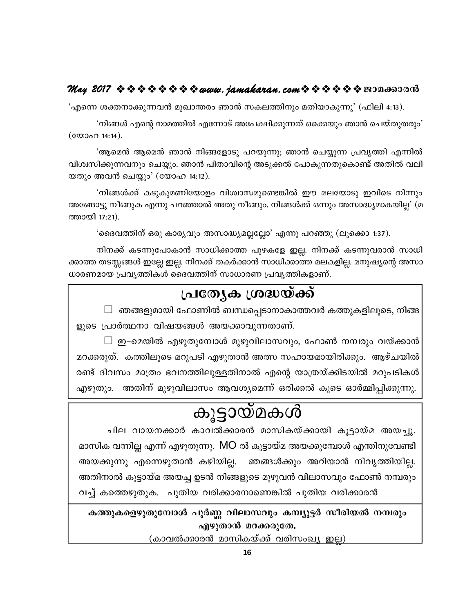## May 2017  $\Leftrightarrow \diamond \diamond \diamond \diamond \diamond \diamond \diamond \leadsto w$ ww.jamakaran.com  $\Leftrightarrow \diamond \diamond \diamond \diamond \diamond \diamond \diamond w$

'എന്നെ ശക്തനാക്കുന്നവൻ മുഖാന്തരം ഞാൻ സകലത്തിനും മതിയാകുന്നു' (ഫിലി 4:13).

'നിങ്ങൾ എന്റെ നാമത്തിൽ എന്നോട് അപേക്ഷിക്കുന്നത് ഒക്കെയും ഞാൻ ചെയ്തുതരും' 

'ആമെൻ ആമെൻ ഞാൻ നിങ്ങളോടു പറയുന്നു; ഞാൻ ചെയ്യുന്ന പ്രവൃത്തി എന്നിൽ വിശ്വസിക്കുന്നവനും ചെയ്യും. ഞാൻ പിതാവിന്റെ അടുക്കൽ പോകുന്നതുകൊണ്ട് അതിൽ വലി യതും അവൻ ചെയ്യും' (യോഹ 14:12).

'നിങ്ങൾക്ക് കടുകുമണിയോളം വിശ്വാസമുണ്ടെങ്കിൽ ഈ മലയോടു ഇവിടെ നിന്നും അങ്ങോട്ടു നീങ്ങുക എന്നു പറഞ്ഞാൽ അതു നീങ്ങും. നിങ്ങൾക്ക് ഒന്നും അസാദ്ധ്യമാകയില്ല' (മ ത്തായി 17:21).

'ദൈവത്തിന് ഒരു കാര്യവും അസാദ്ധ്യമല്ലല്ലോ' എന്നു പറഞ്ഞു (ലൂക്കൊ 1:37).

നിനക്ക് കടന്നുപോകാൻ സാധിക്കാത്ത പുഴകളേ ഇല്ല. നിനക്ക് കടന്നുവരാൻ സാധി ക്കാത്ത തടസ്സങ്ങൾ ഇല്ലേ ഇല്ല. നിനക്ക് തകർക്കാൻ സാധിക്കാത്ത മലകളില്ല. മനുഷ്യന്റെ അസാ ധാരണമായ പ്രവൃത്തികൾ ദൈവത്തിന് സാധാരണ പ്രവൃത്തികളാണ്.

## പ്രത്യേക ശ്രദ്ധയ്ക്ക്

 $\Box$  ഞങ്ങളുമായി ഫോണിൽ ബന്ധപ്പെടാനാകാത്തവർ കത്തുകളിലൂടെ, നിങ്ങ ളുടെ പ്രാർത്ഥനാ വിഷയങ്ങൾ അയക്കാവുന്നതാണ്.

 $\Box$  ഇ–മെയിൽ എഴുതുമ്പോൾ മുഴുവിലാസവും, ഫോൺ നമ്പരും വയ്ക്കാൻ മറക്കരുത്. കത്തിലൂടെ മറുപടി എഴുതാൻ അത്സ സഹായമായിരിക്കും. ആഴ്ചയിൽ രണ്ട് ദിവസം മാത്രം ഭവനത്തിലുള്ളതിനാൽ എന്റെ യാത്രയ്ക്കിടയിൽ മറുപടികൾ എഴുതും. അതിന് മുഴുവിലാസം ആവശ്യമെന്ന് ഒരിക്കൽ കൂടെ ഓർമ്മിപ്പിക്കുന്നു.

## കൂട്ടായ്മകൾ

ചില വായനക്കാർ കാവൽക്കാരൻ മാസികയ്ക്കായി കുട്ടായ്മ അയച്ചു. മാസിക വന്നില്ല എന്ന് എഴുതുന്നു. MO ൽ കൂട്ടായ്മ അയക്കുമ്പോൾ എന്തിനുവേണ്ടി അയക്കുന്നു എന്നെഴുതാൻ കഴിയില്ല. ഞങ്ങൾക്കും അറിയാൻ നിവൃത്തിയില്ല. അതിനാൽ കൂട്ടായ്മ അയച്ച ഉടൻ നിങ്ങളുടെ മുഴുവൻ വിലാസവും ഫോൺ നമ്പരും വച്ച് കത്തെഴുതുക. പുതിയ വരിക്കാരനാണെങ്കിൽ പുതിയ വരിക്കാരൻ

കത്തുകളെഴുതുമ്പോൾ പൂർണ്ണ വിലാസവും കമ്പ്യൂട്ടർ സീരിയൽ നമ്പരും എഴുതാൻ മറക്കരുതേ.

(കാവൽക്കാരൻ മാസികയ്ക്ക് വരിസംഖ്യ ഇല്ല)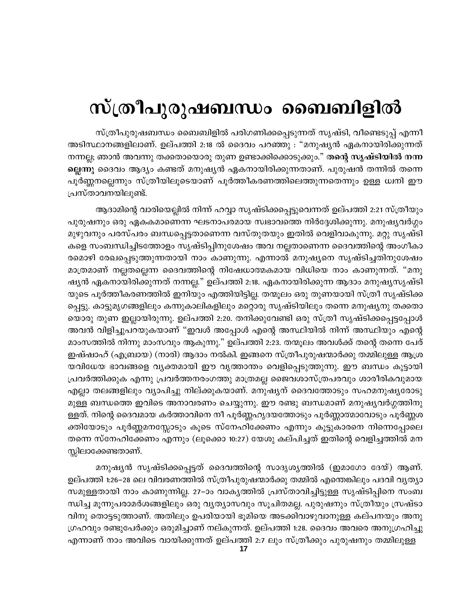## സ്ത്രീപുരുഷബന്ധം ബൈബിളിൽ

സ്ത്രീപുരുഷബന്ധം ബൈബിളിൽ പരിഗണിക്കപ്പെടുന്നത് സൃഷ്ടി, വീണ്ടെടുപ്പ് എന്നീ അടിസ്ഥാനങ്ങളിലാണ്. ഉല്പത്തി 2:18 ൽ ദൈവം പറഞ്ഞു : "മനുഷ്യൻ ഏകനായിരിക്കുന്നത് നന്നല്ല; ഞാൻ അവന്നു തക്കതായൊരു തുണ ഉണ്ടാക്കിക്കൊടുക്കും." <mark>തന്റെ സൃഷ്ടിയിൽ നന്ന</mark> ല്ലെന്നു ദൈവം ആദ്യം കണ്ടത് മനുഷ്യൻ ഏകനായിരിക്കുന്നതാണ്. പുരുഷൻ തന്നിൽ തന്നെ പൂർണ്ണനല്ലെന്നും സ്ത്രീയിലൂടെയാണ് പൂർത്തീകരണത്തിലെത്തുന്നതെന്നും ഉള്ള ധ്വനി ഈ പ്രസ്താവനയിലുണ്ട്.

ആദാമിന്റെ വാരിയെല്ലിൽ നിന്ന് ഹവ്വാ സൃഷ്ടിക്കപ്പെട്ടുവെന്നത് ഉല്പത്തി 2:21 സ്ത്രീയും പുരുഷനും ഒരു ഏകകമാണെന്ന ഘടനാപരമായ സ്വഭാവത്തെ നിർദ്ദേശിക്കുന്നു. മനുഷ്യവർഗ്ഗം മുഴുവനും പരസ്പരം ബന്ധപ്പെട്ടതാണെന്ന വസ്തുതയും ഇതിൽ വെളിവാകുന്നു. മറ്റു സൃഷ്ടി കളെ സംബന്ധിച്ചിടത്തോളം സൃഷ്ടിപ്പിനുശേഷം അവ നല്ലതാണെന്ന ദൈവത്തിന്റെ അംഗീകാ രമൊഴി രേഖപ്പെടുത്തുന്നതായി നാം കാണുന്നു. എന്നാൽ മനുഷ്യനെ സൃഷ്ടിച്ചതിനുശേഷം മാത്രമാണ് നല്ലതല്ലെന്ന ദൈവത്തിന്റെ നിഷേധാത്മകമായ വിധിയെ നാം കാണുന്നത്. "മനു ഷ്യൻ ഏകനായിരിക്കുന്നത് നന്നല്ല." ഉല്പത്തി 2:18. ഏകനായിരിക്കുന്ന ആദാം മനുഷ്യസൃഷ്ടി യുടെ പൂർത്തീകരണത്തിൽ ഇനിയും എത്തിയിട്ടില്ല. തന്മൂലം ഒരു തുണയായി സ്ത്രീ സൃഷ്ടിക്ക പ്പെട്ടു. കാട്ടുമൃഗങ്ങളിലും കന്നുകാലികളിലും മറ്റൊരു സൃഷ്ടിയിലും തന്നെ മനുഷൃനു തക്കതാ യൊരു തുണ ഇല്ലായിരുന്നു. ഉല്പത്തി 2:20. തനിക്കുവേണ്ടി ഒരു സ്ത്രീ സൃഷ്ടിക്കപ്പെട്ടപ്പോൾ അവൻ വിളിച്ചുപറയുകയാണ് "ഇവൾ അപ്പോൾ എന്റെ അസ്ഥിയിൽ നിന്ന് അസ്ഥിയും എന്റെ മാംസത്തിൽ നിന്നു മാംസവും ആകുന്നു." ഉല്പത്തി 2:23. തന്മൂലം അവൾക്ക് തന്റെ തന്നെ പേര് ഇഷ്ഷാഹ് (എബ്രായ) (നാരി) ആദാം നൽകി. ഇങ്ങനെ സ്ത്രീപുരുഷന്മാർക്കു തമ്മിലുള്ള ആശ്ര യവിധേയ ഭാവങ്ങളെ വ്യക്തമായി ഈ വൃത്താന്തം വെളിപ്പെടുത്തുന്നു. ഈ ബന്ധം കൂട്ടായി പ്രവർത്തിക്കുക എന്നു പ്രവർത്തനരംഗത്തു മാത്രമല്ല ജൈവശാസ്ത്രപരവും ശാരീരികവുമായ എല്ലാ തലങ്ങളിലും വ്യാപിച്ചു നില്ക്കുകയാണ്. മനുഷ്യന് ദൈവത്തോടും സഹമനുഷ്യരോടു മുള്ള ബന്ധത്തെ ഇവിടെ അനാവരണം ചെയ്യുന്നു. ഈ രണ്ടു ബന്ധമാണ് മനുഷ്യവർഗ്ഗത്തിനു ള്ളത്. നിന്റെ ദൈവമായ കർത്താവിനെ നീ പൂർണ്ണഹൃദയത്തോടും പൂർണ്ണാത്മാവോടും പൂർണ്ണശ ക്തിയോടും പൂർണ്ണമനസ്സോടും കൂടെ സ്നേഹിക്കേണം എന്നും കൂട്ടുകാരനെ നിന്നെപ്പോലെ തന്നെ സ്നേഹിക്കേണം എന്നും (ലൂക്കൊ 10:27) യേശു കല്പിച്ചത് ഇതിന്റെ വെളിച്ചത്തിൽ മന സ്കിലാക്കേണ്ടതാണ്.

മനുഷ്യൻ സൃഷ്ടിക്കപ്പെട്ടത് ദൈവത്തിന്റെ സാദൃശ്യത്തിൽ (ഇമാഗോ ദേയ്) ആണ്. ഉല്പത്തി 1:26–28 ലെ വിവരണത്തിൽ സ്ത്രീപുരുഷന്മാർക്കു തമ്മിൽ എന്തെങ്കിലും പദവി വൃത്യാ സമുള്ളതായി നാം കാണുന്നില്ല. 27–ാം വാകൃത്തിൽ പ്രസ്താവിച്ചിട്ടുള്ള സൃഷ്ടിപ്പിനെ സംബ ന്ധിച്ച മൂന്നുപരാമർശങ്ങളിലും ഒരു വൃത്യാസവും സൂചിതമല്ല. പുരുഷനും സ്ത്രീയും സ്രഷ്ടാ വിനു തൊട്ടടുത്താണ്. അതിലും ഉപരിയായി ഭൂമിയെ അടക്കിവാഴുവാനുള്ള കല്പനയും അനു ഗ്രഹവും രണ്ടുപേർക്കും ഒരുമിച്ചാണ് നല്കുന്നത്. ഉല്പത്തി 1:28. ദൈവം അവരെ അനുഗ്രഹിച്ചു എന്നാണ് നാം അവിടെ വായിക്കുന്നത് ഉല്പത്തി 2:7 ലും സ്ത്രീക്കും പുരുഷനും തമ്മിലുള്ള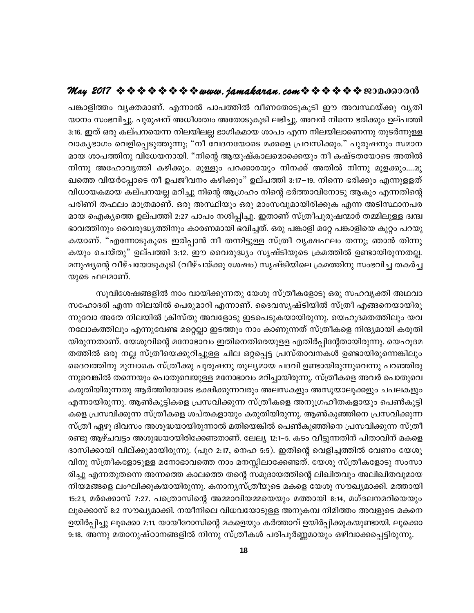പങ്കാളിത്തം വ്യക്തമാണ്. എന്നാൽ പാപത്തിൽ വീണതോടുകൂടി ഈ അവസ്ഥയ്ക്കു വ്യതി യാനം സംഭവിച്ചു. പുരുഷന് അധീശത്വം അതോടുകൂടി ലഭിച്ചു. അവൻ നിന്നെ ഭരിക്കും ഉല്പത്തി 3:16. ഇത് ഒരു കല്പനയെന്ന നിലയിലല്ല ഭാഗികമായ ശാപം എന്ന നിലയിലാണെന്നു തുടർന്നുള്ള വാകൃഭാഗം വെളിപ്പെടുത്തുന്നു; "നീ വേദനയോടെ മക്കളെ പ്രവസിക്കും." പുരുഷനും സമാന മായ ശാപത്തിനു വിധേയനായി. "നിന്റെ ആയുഷ്കാലമൊക്കെയും നീ കഷ്ടതയോടെ അതിൽ നിന്നു അഹോവൃത്തി കഴിക്കും. മുള്ളും പറക്കാരയും നിനക്ക് അതിൽ നിന്നു മുളക്കും....മു ഖത്തെ വിയർപ്പോടെ നീ ഉപജീവനം കഴിക്കും" ഉല്പത്തി 3:17–19. നിന്നെ ഭരിക്കും എന്നുളളത് വിധായകമായ കല്പനയല്ല മറിച്ചു നിന്റെ ആഗ്രഹം നിന്റെ ഭർത്താവിനോടു ആകും എന്നതിന്റെ പരിണി തഫലം മാത്രമാണ്. ഒരു അസ്ഥിയും ഒരു മാംസവുമായിരിക്കുക എന്ന അടിസ്ഥാനപര മായ ഐക്യത്തെ ഉല്പത്തി 2:27 പാപം നശിപ്പിച്ചു. ഇതാണ് സ്ത്രീപുരുഷന്മാർ തമ്മിലുള്ള ദ്വന്ദ്വ ഭാവത്തിനും വൈരുദ്ധ്യത്തിനും കാരണമായി ഭവിച്ചത്. ഒരു പങ്കാളി മറ്റേ പങ്കാളിയെ കുറ്റം പറയു കയാണ്. "എന്നോടുകൂടെ ഇരിപ്പാൻ നീ തന്നിട്ടുള്ള സ്ത്രീ വൃക്ഷഫലം തന്നു; ഞാൻ തിന്നു കയും ചെയ്തു" ഉല്പത്തി 3:12. ഈ വൈരുദ്ധ്യം സൃഷ്ടിയുടെ ക്രമത്തിൽ ഉണ്ടായിരുന്നതല്ല. മനുഷ്യന്റെ വീഴ്ചയോടുകൂടി (വീഴ്ചയ്ക്കു ശേഷം) സൃഷ്ടിയിലെ ക്രമത്തിനു സംഭവിച്ച തകർച്ച യുടെ ഫലമാണ്.

സുവിശേഷങ്ങളിൽ നാം വായിക്കുന്നതു യേശു സ്ത്രീകളോടു ഒരു സഹവൃക്തി അഥവാ സഹോദരി എന്ന നിലയിൽ പെരുമാറി എന്നാണ്. ദൈവസൃഷ്ടിയിൽ സ്ത്രീ എങ്ങനെയായിരു ന്നുവോ അതേ നിലയിൽ ക്രിസ്തു അവളോടു ഇടപെടുകയായിരുന്നു. യെഹുദമതത്തിലും യവ നലോകത്തിലും എന്നുവേണ്ട മറ്റെല്ലാ ഇടത്തും നാം കാണുന്നത് സ്ത്രീകളെ നിന്ദ്യമായി കരുതി യിരുന്നതാണ്. യേശുവിന്റെ മനോഭാവം ഇതിനെതിരെയുളള എതിർപ്പിന്റേതായിരുന്നു. യെഹൂദമ തത്തിൽ ഒരു നല്ല സ്ത്രീയെക്കുറിച്ചുള്ള ചില ഒറ്റപ്പെട്ട പ്രസ്താവനകൾ ഉണ്ടായിരുന്നെങ്കിലും ദൈവത്തിനു മുമ്പാകെ സ്ത്രീക്കു പുരുഷനു തുല്യമായ പദവി ഉണ്ടായിരുന്നുവെന്നു പറഞ്ഞിരു ന്നുവെങ്കിൽ തന്നെയും പൊതുവെയുള്ള മനോഭാവം മറിച്ചായിരുന്നു. സ്ത്രീകളെ അവർ പൊതുവെ കരുതിയിരുന്നതു ആർത്തിയോടെ ഭക്ഷിക്കുന്നവരും അലസകളും അസൂയാലുക്കളും ചപലകളും എന്നായിരുന്നു. ആൺകുട്ടികളെ പ്രസവിക്കുന്ന സ്ത്രീകളെ അനുഗ്രഹീതകളായും പെൺകുട്ടി കളെ പ്രസവിക്കുന്ന സ്ത്രീകളെ ശപ്തകളായും കരുതിയിരുന്നു. ആൺകുഞ്ഞിനെ പ്രസവിക്കുന്ന സ്ത്രീ ഏഴു ദിവസം അശുദ്ധയായിരുന്നാൽ മതിയെങ്കിൽ പെൺകുഞ്ഞിനെ പ്രസവിക്കുന്ന സ്ത്രീ രണ്ടു ആഴ്ചവട്ടം അശുദ്ധയായിരിക്കേണ്ടതാണ്. ലേല്യ 12:1–5. കടം വീട്ടുന്നതിന് പിതാവിന് മകളെ ദാസിക്കായി വില്ക്കുമായിരുന്നു. (പുറ 2:17, നെഹ 5:5). ഇതിന്റെ വെളിച്ചത്തിൽ വേണം യേശു വിനു സ്ത്രീകളോടുള്ള മനോഭാവത്തെ നാം മനസ്സിലാക്കേണ്ടത്. യേശു സ്ത്രീകളോടു സംസാ രിച്ചു എന്നതുതന്നെ അന്നത്തെ കാലത്തെ തന്റെ സമുദായത്തിന്റെ ലിഖിതവും അലിഖിതവുമായ നിയമങ്ങളെ ലംഘിക്കുകയായിരുന്നു. കനാനൃസ്ത്രീയുടെ മകളെ യേശു സൗഖ്യമാക്കി. മത്തായി 15:21, മർക്കൊസ് 7:27. പത്രൊസിന്റെ അമ്മാവിയമ്മയെയും മത്തായി 8:14, മഗ്ദലനമറിയെയും ലൂക്കൊസ് 8:2 സൗഖ്യമാക്കി. നയീനിലെ വിധവയോടുള്ള അനുകമ്പ നിമിത്തം അവളുടെ മകനെ ഉയിർപ്പിച്ചു ലൂക്കൊ 7:11. യായീറോസിന്റെ മകളെയും കർത്താവ് ഉയിർപ്പിക്കുകയുണ്ടായി. ലൂക്കൊ 9:18. അന്നു മതാനുഷ്ഠാനങ്ങളിൽ നിന്നു സ്ത്രീകൾ പരിപൂർണ്ണമായും ഒഴിവാക്കപ്പെട്ടിരുന്നു.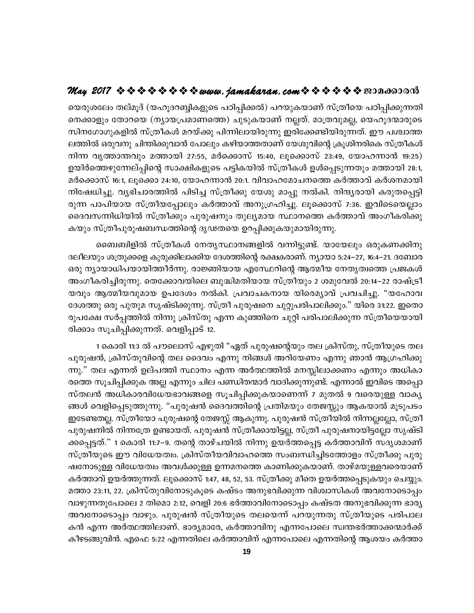യെരുശലേം തല്മൂദ് (യഹൂദറബ്ബികളുടെ പഠിപ്പിക്കൽ) പറയുകയാണ് സ്ത്രീയെ പഠിപ്പിക്കുന്നതി നെക്കാളും തോറയെ (ന്യായപ്രമാണത്തെ) ചുടുകയാണ് നല്ലത്. മാത്രവുമല്ല, യെഹൂദന്മാരുടെ സിനഗോഗുകളിൽ സ്ത്രീകൾ മറയ്ക്കു പിന്നിലായിരുന്നു ഇരിക്കേണ്ടിയിരുന്നത്. ഈ പശ്ചാത്ത ലത്തിൽ ഒരുവനു ചിന്തിക്കുവാൻ പോലും കഴിയാത്തതാണ് യേശുവിന്റെ ക്രൂശിനരികെ സ്ത്രീകൾ നിന്ന വൃത്താന്തവും മത്തായി 27:55, മർക്കൊസ് 15:40, ലൂക്കൊസ് 23:49, യോഹന്നാൻ 19:25) ഉയിർത്തെഴുന്നേല്പ്പിന്റെ സാക്ഷികളുടെ പട്ടികയിൽ സ്ത്രീകൾ ഉൾപ്പെടുന്നതും മത്തായി 28:1, മർക്കൊസ് 16:1, ലൂക്കൊ 24:10, യോഹന്നാൻ 20:1. വിവാഹമോചനത്തെ കർത്താവ് കർശനമായി നിഷേധിച്ചു. വൃഭിചാരത്തിൽ പിടിച്ച സ്ത്രീക്കു യേശു മാപ്പു നൽകി. നിന്ദ്യരായി കരുതപ്പെട്ടി രുന്ന പാപിയായ സ്ത്രീയപ്പോലും കർത്താവ് അനുഗ്രഹിച്ചു. ലൂക്കൊസ് 7:36. ഇവിടെയെല്ലാം ദൈവസന്നിധിയിൽ സ്ത്രീക്കും പുരുഷനും തുല്യമായ സ്ഥാനത്തെ കർത്താവ് അംഗീകരിക്കു കയും സ്ത്രീപുരുഷബന്ധത്തിന്റെ ദൃഢതയെ ഉറപ്പിക്കുകയുമായിരുന്നു.

ബൈബിളിൽ സ്ത്രീകൾ നേതൃസ്ഥാനങ്ങളിൽ വന്നിട്ടുണ്ട്. യായേലും ഒരുകണക്കിനു ദലീലയും ശത്രുക്കളെ കുരുക്കിലാക്കിയ ദേശത്തിന്റെ രക്ഷകരാണ്. ന്യായാ 5:24–27, 16:4–21. ദബോര ഒരു ന്യായാധിപയായിത്തീർന്നു. രാജ്ഞിയായ എസ്ഥേറിന്റെ ആത്മീയ നേതൃത്വത്തെ പ്രജകൾ അംഗീകരിച്ചിരുന്നു. തെക്കോവയിലെ ബുദ്ധിമതിയായ സ്ത്രീയും 2 ശമുവേൽ 20:14–22 രാഷ്ട്രീ യവും ആത്മീയവുമായ ഉപദേശം നൽകി. പ്രവാചകനായ യിരെമ്യാവ് പ്രവചിച്ചു. "യഹോവ ദേശത്തു ഒരു പുതുമ സൃഷ്ടിക്കുന്നു. സ്ത്രീ പുരുഷനെ ചുറ്റുപരിപാലിക്കും." യിരെ 31:22. ഇതൊ രുപക്ഷേ സർപ്പത്തിൽ നിന്നു ക്രിസ്തു എന്ന കുഞ്ഞിനെ ചുറ്റി പരിപാലിക്കുന്ന സ്ത്രീയെയായി രിക്കാം സൂചിപ്പിക്കുന്നത്. വെളിപ്പാട് 12.

1 കൊരി 11:3 ൽ പൗലൊസ് എഴുതി "ഏത് പുരുഷന്റെയും തല ക്രിസ്തു, സ്ത്രീയുടെ തല പുരുഷൻ, ക്രിസ്തുവിന്റെ തല ദൈവം എന്നു നിങ്ങൾ അറിയേണം എന്നു ഞാൻ ആഗ്രഹിക്കു ന്നു." തല എന്നത് ഉല്പത്തി സ്ഥാനം എന്ന അർത്ഥത്തിൽ മനസ്സിലാക്കണം എന്നും അധികാ രത്തെ സൂചിപ്പിക്കുക അല്ല എന്നും ചില പണ്ഡിതന്മാർ വാദിക്കുന്നുണ്ട്. എന്നാൽ ഇവിടെ അപ്പൊ സ്തലൻ അധികാരവിധേയഭാവങ്ങളെ സൂചിപ്പിക്കുകയാണെന്ന് 7 മുതൽ 9 വരെയുള്ള വാകൃ ങ്ങൾ വെളിപ്പെടുത്തുന്നു. "പുരുഷൻ ദൈവത്തിന്റെ പ്രതിമയും തേജസ്സും ആകയാൽ മൂടുപടം ഇടേണ്ടതല്ല. സ്ത്രീയോ പുരുഷന്റെ തേജസ്സ് ആകുന്നു. പുരുഷൻ സ്ത്രീയിൽ നിന്നല്ലല്ലോ, സ്ത്രീ പുരുഷനിൽ നിന്നത്രേ ഉണ്ടായത്. പുരുഷൻ സ്ത്രീക്കായിട്ടല്ല, സ്ത്രീ പുരുഷനായിട്ടല്ലോ സൃഷ്ടി ക്കപ്പെട്ടത്." 1 കൊരി 11:7–9. തന്റെ താഴ്ചയിൽ നിന്നു ഉയർത്തപ്പെട്ട കർത്താവിന് സദൃശമാണ് സ്ത്രീയുടെ ഈ വിധേയത്വം. ക്രിസ്തീയവിവാഹത്തെ സംബന്ധിച്ചിടത്തോളം സ്ത്രീക്കു പുരു ഷനോടുള്ള വിധേയത്വം അവൾക്കുള്ള ഉന്നമനത്തെ കാണിക്കുകയാണ്. താഴ്മയുള്ളവരെയാണ് കർത്താവ് ഉയർത്തുന്നത്. ലൂക്കൊസ് 1:47, 48, 52, 53. സ്ത്രീക്കു മീതെ ഉയർത്തപ്പെടുകയും ചെയ്യും. മത്താ 23:11, 22. ക്രിസ്തുവിനോടുകൂടെ കഷ്ടം അനുഭവിക്കുന്ന വിശ്വാസികൾ അവനോടൊപ്പം വാഴുന്നതുപോലെ 2 തിമൊ 2:12, വെളി 20:6 ഭർത്താവിനോടൊപ്പം കഷ്ടത അനുഭവിക്കുന്ന ഭാര്യ അവനോടൊപ്പം വാഴും. പുരുഷൻ സ്ത്രീയുടെ തലയെന്ന് പറയുന്നതു സ്ത്രീയുടെ പരിപാല കൻ എന്ന അർത്ഥത്തിലാണ്. ഭാര്യമാരേ, കർത്താവിനു എന്നപോലെ സ്വന്തഭർത്താക്കന്മാർക്ക് കീഴടങ്ങുവിൻ. എഫെ 5:22 എന്നതിലെ കർത്താവിന് എന്നപോലെ എന്നതിന്റെ ആശയം കർത്താ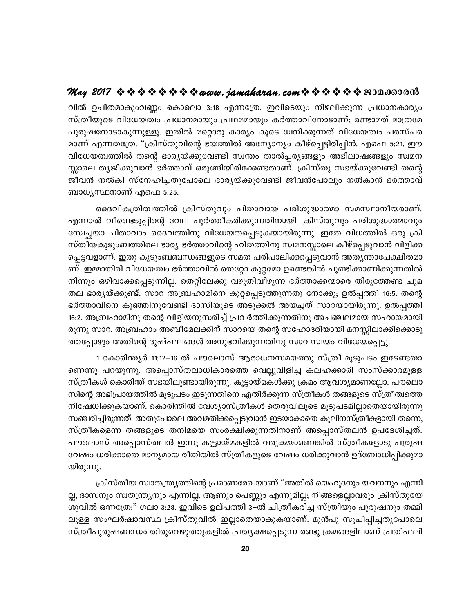വിൽ ഉചിതമാകുംവണ്ണം കൊലൊ 3:18 എന്നത്രേ. ഇവിടെയും നിഴലിക്കുന്ന പ്രധാനകാര്യം സ്ത്രീയുടെ വിധേയത്വം പ്രധാനമായും പ്രഥമമായും കർത്താവിനോടാണ്; രണ്ടാമത് മാത്രമേ പുരുഷനോടാകുന്നുള്ളൂ. ഇതിൽ മറ്റൊരു കാര്യം കൂടെ ധ്വനിക്കുന്നത് വിധേയത്വം പരസ്പര മാണ് എന്നതത്രേ. "ക്രിസ്തുവിന്റെ ഭയത്തിൽ അന്യോന്യം കീഴ്പ്പെട്ടിരിപ്പിൻ. എഫെ 5:21. ഈ വിധേയത്വത്തിൽ തന്റെ ഭാര്യയ്ക്കുവേണ്ടി സ്വന്തം താൽപ്പര്യങ്ങളും അഭിലാഷങ്ങളും സ്വമന സ്സാലെ തൃജിക്കുവാൻ ഭർത്താവ് ഒരുങ്ങിയിരിക്കേണ്ടതാണ്. ക്രിസ്തു സഭയ്ക്കുവേണ്ടി തന്റെ ജീവൻ നൽകി സ്നേഹിച്ചതുപോലെ ഭാര്യയ്ക്കുവേണ്ടി ജീവൻപോലും നൽകാൻ ഭർത്താവ് ബാധൃസ്ഥനാണ് എഫെ 5:25.

ദൈവികത്രിത്വത്തിൽ ക്രിസ്തുവും പിതാവായ പരിശുദ്ധാത്മാ സമസ്ഥാനീയരാണ്. എന്നാൽ വീണ്ടെടുപ്പിന്റെ വേല പൂർത്തീകരിക്കുന്നതിനായി ക്രിസ്തുവും പരിശുദ്ധാത്മാവും സ്വേച്ഛയാ പിതാവാം ദൈവത്തിനു വിധേയതപ്പെടുകയായിരുന്നു. ഇതേ വിധത്തിൽ ഒരു ക്രി സ്തീയകുടുംബത്തിലെ ഭാര്യ ഭർത്താവിന്റെ ഹിതത്തിനു സ്വമനസ്സാലെ കീഴ്പ്പെടുവാൻ വിളിക്ക പ്പെട്ടവളാണ്. ഇതു കുടുംബബന്ധങ്ങളുടെ സമത പരിപാലിക്കപ്പെടുവാൻ അത്യന്താപേക്ഷിതമാ ണ്. ഇമ്മാതിരി വിധേയത്വം ഭർത്താവിൽ തെറ്റോ കുറ്റമോ ഉണ്ടെങ്കിൽ ചൂണ്ടിക്കാണിക്കുന്നതിൽ നിന്നും ഒഴിവാക്കപ്പെടുന്നില്ല. തെറ്റിലേക്കു വഴുതിവീഴുന്ന ഭർത്താക്കന്മാരെ തിരുത്തേണ്ട ചുമ തല ഭാര്യയ്ക്കുണ്ട്. സാറ അബ്രഹാമിനെ കുറ്റപ്പെടുത്തുന്നതു നോക്കൂ; ഉൽപ്പത്തി 16:5. തന്റെ ഭർത്താവിനെ കുഞ്ഞിനുവേണ്ടി ദാസിയുടെ അടുക്കൽ അയച്ചത് സാറയായിരുന്നു. ഉൽപ്പത്തി 16:2. അബ്രഹാമിനു തന്റെ വിളിയനുസരിച്ച് പ്രവർത്തിക്കുന്നതിനു അചഞ്ചലമായ സഹായമായി രുന്നു സാറ. അബ്രഹാം അബീമേലക്കിന് സാറയെ തന്റെ സഹോദരിയായി മനസ്സിലാക്കിക്കൊടു ത്തപ്പോഴും അതിന്റെ ദുഷ്ഫലങ്ങൾ അനുഭവിക്കുന്നതിനു സാറ സ്വയം വിധേയപ്പെട്ടു.

1 കൊരിന്ത്യർ 11:12–16 ൽ പൗലൊസ് ആരാധനസമയത്തു സ്ത്രീ മുടുപടം ഇടേണ്ടതാ ണെന്നു പറയുന്നു. അപ്പൊസ്തലാധികാരത്തെ വെല്ലുവിളിച്ച കലഹക്കാരി സംസ്ക്കാരമുള്ള സ്ത്രീകൾ കൊരിന്ത് സഭയിലുണ്ടായിരുന്നു. കൂട്ടായ്മകൾക്കു ക്രമം ആവശ്യമാണല്ലോ. പൗലൊ സിന്റെ അഭിപ്രായത്തിൽ മൂടുപടം ഇടുന്നതിനെ എതിർക്കുന്ന സ്ത്രീകൾ തങ്ങളുടെ സ്ത്രീത്വത്തെ നിഷേധിക്കുകയാണ്. കൊരിന്തിൽ വേശ്യാസ്ത്രീകൾ തെരുവിലൂടെ മൂടുപടമില്ലാതെയായിരുന്നു സഞ്ചരിച്ചിരുന്നത്. അതുപോലെ അവമതിക്കപ്പെടുവാൻ ഇടയാകാതെ കൂലിനസ്ത്രീകളായി തന്നെ, സ്ത്രീകളെന്ന തങ്ങളുടെ തനിമയെ സംരക്ഷിക്കുന്നതിനാണ് അപ്പൊസ്തലൻ ഉപദേശിച്ചത്. പൗലൊസ് അപ്പൊസ്തലൻ ഇന്നു കൂട്ടായ്മകളിൽ വരുകയാണെങ്കിൽ സ്ത്രീകളോടു പുരുഷ വേഷം ധരിക്കാതെ മാന്യമായ രീതിയിൽ സ്ത്രീകളുടെ വേഷം ധരിക്കുവാൻ ഉദ്ബോധിപ്പിക്കുമാ യിരുന്നു.

ക്രിസ്തീയ സ്വാതന്ത്ര്യത്തിന്റെ പ്രമാണരേഖയാണ് "അതിൽ യെഹൂദനും യവനനും എന്നി ല്ല, ദാസനും സ്വതന്ത്ര്യനും എന്നില്ല, ആണും പെണ്ണും എന്നുമില്ല; നിങ്ങളെല്ലാവരും ക്രിസ്തുയേ ശുവിൽ ഒന്നത്രേ:" ഗലാ 3:28. ഇവിടെ ഉല്പത്തി 3–ൽ ചിത്രീകരിച്ച സ്ത്രീയും പുരുഷനും തമ്മി ലുള്ള സംഘർഷാവസ്ഥ ക്രിസ്തുവിൽ ഇല്ലാതെയാകുകയാണ്. മുൻപു സൂചിപ്പിച്ചതുപോലെ സ്ത്രീപുരുഷബന്ധം തിരുവെഴുത്തുകളിൽ പ്രത്യക്ഷപ്പെടുന്ന രണ്ടു ക്രമങ്ങളിലാണ് പ്രതിഫലി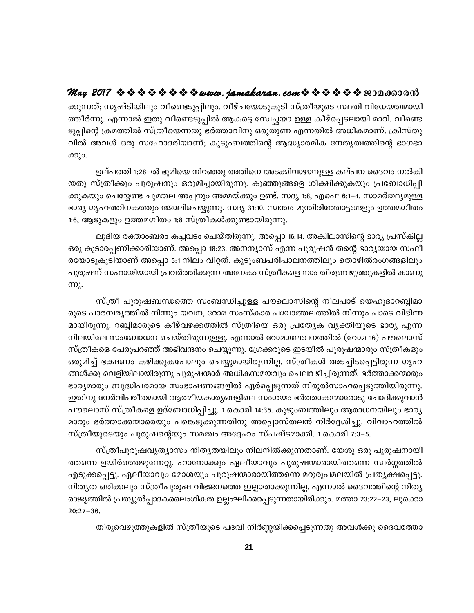ക്കുന്നത്; സൃഷ്ടിയിലും വീണ്ടെടുപ്പിലും. വീഴ്ചയോടുകൂടി സ്ത്രീയുടെ സ്ഥതി വിധേയത്വമായി ത്തീർന്നു. എന്നാൽ ഇതു വീണ്ടെടുപ്പിൽ ആകട്ടെ സ്വേച്ചയാ ഉള്ള കീഴ്പ്പെടലായി മാറി. വീണ്ടെ ടുപ്പിന്റെ ക്രമത്തിൽ സ്ത്രീയെന്നതു ഭർത്താവിനു ഒരുതുണ എന്നതിൽ അധികമാണ്. ക്രിസ്തു വിൽ അവൾ ഒരു സഹോദരിയാണ്; കുടുംബത്തിന്റെ ആദ്ധ്യാത്മിക നേതൃത്വത്തിന്റെ ഭാഗഭാ ക്കും.

ഉല്പത്തി 1:28–ൽ ഭൂമിയെ നിറഞ്ഞു അതിനെ അടക്കിവാഴാനുള്ള കല്പന ദൈവം നൽകി യതു സ്ത്രീക്കും പുരുഷനും ഒരുമിച്ചായിരുന്നു. കുഞ്ഞുങ്ങളെ ശിക്ഷിക്കുകയും പ്രബോധിപ്പി ക്കുകയും ചെയ്യേണ്ട ചുമതല അപ്പനും അമ്മയ്ക്കും ഉണ്ട്. സദൃ 1:8, എഫെ 6:1–4. സാമർത്ഥ്യമുള്ള ഭാര്യ ഗൃഹത്തിനകത്തും ജോലിചെയ്യുന്നു. സദൃ 31:10. സ്വന്തം മുന്തിരിത്തോട്ടങ്ങളും ഉത്തമഗീതം 1:6, ആടുകളും ഉത്തമഗീതം 1:8 സ്ത്രീകൾക്കുണ്ടായിരുന്നു.

ലുദിയ രക്താംബരം കച്ചവടം ചെയ്തിരുന്നു. അപ്പൊ 16:14. അകിലാസിന്റെ ഭാര്യ പ്രസ്കില്ല ഒരു കൂടാരപ്പണിക്കാരിയാണ്. അപ്പൊ 18:23. അനന്യാസ് എന്ന പുരുഷൻ തന്റെ ഭാര്യയായ സഫീ രയോടുകൂടിയാണ് അപ്പൊ 5:1 നിലം വിറ്റത്. കുടുംബപരിപാലനത്തിലും തൊഴിൽരംഗങ്ങളിലും പുരുഷന് സഹായിയായി പ്രവർത്തിക്കുന്ന അനേകം സ്ത്രീകളെ നാം തിരുവെഴുത്തുകളിൽ കാണു  $m<sub>λ</sub>$ .

സ്ത്രീ പുരുഷബന്ധത്തെ സംബന്ധിച്ചുള്ള പൗലൊസിന്റെ നിലപാട് യെഹൂദാറബ്ബിമാ രുടെ പാരമ്പര്യത്തിൽ നിന്നും യവന, റോമ സംസ്കാര പശ്ചാത്തലത്തിൽ നിന്നും പാടെ വിഭിന്ന മായിരുന്നു. റബ്ബിമാരുടെ കീഴ്വഴക്കത്തിൽ സ്ത്രീയെ ഒരു പ്രത്യേക വ്യക്തിയുടെ ഭാര്യ എന്ന നിലയിലേ സംബോധന ചെയ്തിരുന്നുള്ളു. എന്നാൽ റോമാലേഖനത്തിൽ (റോമ 16) പൗലൊസ് സ്ത്രീകളെ പേരുപറഞ്ഞ് അഭിവന്ദനം ചെയ്യുന്നു. ശ്രേക്കരുടെ ഇടയിൽ പുരുഷന്മാരും സ്ത്രീകളും ഒരുമിച്ച് ഭക്ഷണം കഴിക്കുകപോലും ചെയ്യുമായിരുന്നില്ല. സ്ത്രീകൾ അടച്ചിടപ്പെട്ടിരുന്ന ഗൃഹ ങ്ങൾക്കു വെളിയിലായിരുന്നു പുരുഷന്മാർ അധികസമയവും ചെലവഴിച്ചിരുന്നത്. ഭർത്താക്കന്മാരും ഭാര്യമാരും ബുദ്ധിപരമായ സംഭാഷണങ്ങളിൽ ഏർപ്പെടുന്നത് നിരുൽസാഹപ്പെടുത്തിയിരുന്നു. ഇതിനു നേർവിപരീതമായി ആത്മീയകാര്യങ്ങളിലെ സംശയം ഭർത്താക്കന്മാരോടു ചോദിക്കുവാൻ പൗലൊസ് സ്ത്രീകളെ ഉദ്ബോധിപ്പിച്ചു. 1 കൊരി 14:35. കുടുംബത്തിലും ആരാധനയിലും ഭാര്യ മാരും ഭർത്താക്കന്മാരെയും പങ്കെടുക്കുന്നതിനു അപ്പൊസ്തലൻ നിർദ്ദേശിച്ചു. വിവാഹത്തിൽ സ്ത്രീയുടെയും പുരുഷന്റെയും സമത്വം അദ്ദേഹം സ്പഷ്ടമാക്കി. 1 കൊരി 7:3–5.

സ്ത്രീപുരുഷവൃത്യാസം നിതൃതയിലും നിലനിൽക്കുന്നതാണ്. യേശു ഒരു പുരുഷനായി ത്തന്നെ ഉയിർത്തെഴുന്നേറ്റു. ഹാനോക്കും ഏലീയാവും പുരുഷന്മാരായിത്തന്നെ സ്വർഗ്ഗത്തിൽ എടുക്കപ്പെട്ടു. ഏലീയാവും മോശയും പുരുഷന്മാരായിത്തന്നെ മറുരൂപമലയിൽ പ്രത്യക്ഷപ്പെട്ടു. നിതൃത ഒരിക്കലും സ്ത്രീപുരുഷ വിഭജനത്തെ ഇല്ലാതാക്കുന്നില്ല. എന്നാൽ ദൈവത്തിന്റെ നിതൃ രാജ്യത്തിൽ പ്രത്യുൽപ്പാദകലൈംഗികത ഉല്ലംഘിക്കപ്പെടുന്നതായിരിക്കും. മത്താ 23:22–23, ലൂക്കൊ  $20:27 - 36.$ 

തിരുവെഴുത്തുകളിൽ സ്ത്രീയുടെ പദവി നിർണ്ണയിക്കപ്പെടുന്നതു അവൾക്കു ദൈവത്തോ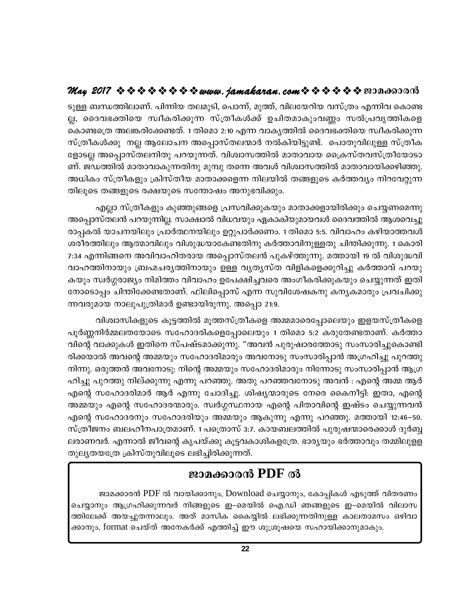ടുള്ള ബന്ധത്തിലാണ്. പിന്നിയ തലമുടി, പൊന്ന്, മുത്ത്, വിലയേറിയ വസ്ത്രം എന്നിവ കൊണ്ട ല്ല, ദൈവഭക്തിയെ സ്വീകരിക്കുന്ന സ്ത്രീകൾക്ക് ഉചിതമാകുംവണ്ണം സൽപ്രവൃത്തികളെ കൊണ്ടത്രെ അലങ്കരിക്കേണ്ടത്. 1 തിമൊ 2:10 എന്ന വാകൃത്തിൽ ദൈവഭക്തിയെ സ്വീകരിക്കുന്ന സ്ത്രീകൾക്കു നല്ല ആലോചന അപ്പൊസ്തലന്മാർ നൽകിയിട്ടുണ്ട്. പൊതുവിലുള്ള സ്ത്രീക ളോടല്ല അപ്പൊസ്തലനിതു പറയുന്നത്. വിശ്വാസത്തിൽ മാതാവായ ക്രൈസ്തവസ്ത്രീയോടാ ണ്. ജഡത്തിൽ മാതാവാകുന്നതിനു മുമ്പു തന്നെ അവൾ വിശ്വാസത്തിൽ മാതാവായിക്കഴിഞ്ഞു. അധികം സ്ത്രീകളും ക്രിസ്തീയ മാതാക്കളെന്ന നിലയിൽ തങ്ങളുടെ കർത്തവ്യം നിറവേറ്റുന്ന തിലൂടെ തങ്ങളുടെ രക്ഷയുടെ സന്തോഷം അനുഭവിക്കും.

എല്ലാ സ്ത്രീകളും കുഞ്ഞുങ്ങളെ പ്രസവിക്കുകയും മാതാക്കളായിരിക്കും ചെയ്യണമെന്നു അപ്പൊസ്തലൻ പറയുന്നില്ല. സാക്ഷാൽ വിധവയും ഏകാകിയുമായവൾ ദൈവത്തിൽ ആശവെച്ചു രാപ്പകൽ യാചനയിലും പ്രാർത്ഥനയിലും ഉറ്റുപാർക്കണം. 1 തിമൊ 5:5. വിവാഹം കഴിയാത്തവൾ ശരീരത്തിലും ആത്മാവിലും വിശുദ്ധയാകേണ്ടതിനു കർത്താവിനുള്ളതു ചിന്തിക്കുന്നു. 1 കൊരി 7:34 എന്നിങ്ങനെ അവിവാഹിതരായ അപ്പൊസ്തലൻ പുകഴ്ത്തുന്നു. മത്തായി 19 ൽ വിശുദ്ധവി വാഹത്തിനായും ബ്രഹ്മചര്യത്തിനായും ഉള്ള വ്യത്യസ്ത വിളികളെക്കുറിച്ചു കർത്താവ് പറയു കയും സ്വർഗ്ഗരാജ്യം നിമിത്തം വിവാഹം ഉപേക്ഷിച്ചവരെ അംഗീകരിക്കുകയും ചെയ്യുന്നത് ഇതി നോടൊപ്പം ചിന്തിക്കേണ്ടതാണ്. ഫിലിപ്പൊസ് എന്ന സുവിശേഷകനു കനൃകമാരും പ്രവചിക്കു ന്നവരുമായ നാലുപുത്രിമാർ ഉണ്ടായിരുന്നു. അപ്പൊ 21:9.

വിശ്വാസികളുടെ കൂട്ടത്തിൽ മൂത്തസ്ത്രീകളെ അമ്മമാരെപ്പോലെയും ഇളയസ്ത്രീകളെ പൂർണ്ണനിർമ്മലതയോടെ സഹോദരികളെപ്പോലെയും 1 തിമൊ 5:2 കരുതേണ്ടതാണ്. കർത്താ വിന്റെ വാക്കുകൾ ഇതിനെ സ്പഷ്ടമാക്കുന്നു. "അവൻ പുരുഷാരത്തോടു സംസാരിച്ചുകൊണ്ടി രിക്കയാൽ അവന്റെ അമ്മയും സഹോദരിമാരും അവനോടു സംസാരിപ്പാൻ അഗ്രഹിച്ചു പുറത്തു നിന്നു. ഒരുത്തൻ അവനോടു: നിന്റെ അമ്മയും സഹോദരിമാരും നിന്നോടു സംസാരിപ്പാൻ ആഗ്ര ഹിച്ചു പുറത്തു നില്ക്കുന്നു എന്നു പറഞ്ഞു. അതു പറഞ്ഞവനോടു അവൻ : എന്റെ അമ്മ ആർ എന്റെ സഹോദരിമാർ ആർ എന്നു ചോദിച്ചു. ശിഷ്യന്മാരുടെ നേരെ കൈനീട്ടി: ഇതാ, എന്റെ അമ്മയും എന്റെ സഹോദരന്മാരും. സ്വർഗ്ഗസ്ഥനായ എന്റെ പിതാവിന്റെ ഇഷ്ടം ചെയ്യുന്നവൻ എന്റെ സഹോദരനും സഹോദരിയും അമ്മയും ആകുന്നു എന്നു പറഞ്ഞു. മത്തായി 12:46–50. സ്ത്രീജനം ബലഹീനപാത്രമാണ്. 1 പത്രൊസ് 3:7. കായബലത്തിൽ പുരുഷന്മാരെക്കാൾ ദുർബ്ബ ലരാണവർ. എന്നാൽ ജീവന്റെ കൃപയ്ക്കു കൂട്ടവകാശികളത്രേ. ഭാര്യയും ഭർത്താവും തമ്മിലുളള തുലൃതയത്രേ ക്രിസ്തുവിലൂടെ ലഭിച്ചിരിക്കുന്നത്.

## ജാമക്കാരൻ PDF ൽ

ജാമക്കാരൻ PDF ൽ വായിക്കാനും, Download ചെയ്യാനും, കോപ്പികൾ എടുത്ത് വിതരണം ചെയ്യാനും ആഗ്രഹിക്കുന്നവർ നിങ്ങളുടെ ഇ–മെയിൽ ഐ.ഡി ഞങ്ങളുടെ ഇ–മെയിൽ വിലാസ ത്തിലേക്ക് അയച്ചുതന്നാലും. അത് മാസിക കൈയ്യിൽ ലഭിക്കുന്നതിനുള്ള കാലതാമസം ഒഴിവാ ക്കാനും, format ചെയ്ത് അനേകർക്ക് എത്തിച്ച് ഈ ശുശ്രൂഷയെ സഹായിക്കാനുമാകും.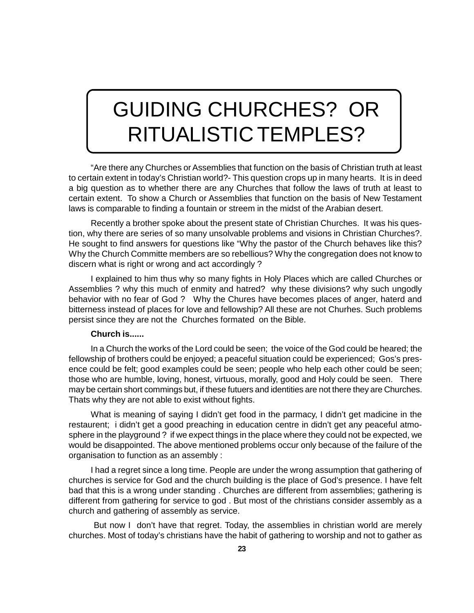## GUIDING CHURCHES? OR RITUALISTIC TEMPLES?

"Are there any Churches or Assemblies that function on the basis of Christian truth at least to certain extent in today's Christian world?- This question crops up in many hearts. It is in deed a big question as to whether there are any Churches that follow the laws of truth at least to certain extent. To show a Church or Assemblies that function on the basis of New Testament laws is comparable to finding a fountain or streem in the midst of the Arabian desert.

Recently a brother spoke about the present state of Christian Churches. It was his question, why there are series of so many unsolvable problems and visions in Christian Churches?. He sought to find answers for questions like "Why the pastor of the Church behaves like this? Why the Church Committe members are so rebellious? Why the congregation does not know to discern what is right or wrong and act accordingly ?

I explained to him thus why so many fights in Holy Places which are called Churches or Assemblies ? why this much of enmity and hatred? why these divisions? why such ungodly behavior with no fear of God ? Why the Chures have becomes places of anger, haterd and bitterness instead of places for love and fellowship? All these are not Churhes. Such problems persist since they are not the Churches formated on the Bible.

#### **Church is......**

In a Church the works of the Lord could be seen; the voice of the God could be heared; the fellowship of brothers could be enjoyed; a peaceful situation could be experienced; Gos's presence could be felt; good examples could be seen; people who help each other could be seen; those who are humble, loving, honest, virtuous, morally, good and Holy could be seen. There may be certain short commings but, if these futuers and identities are not there they are Churches. Thats why they are not able to exist without fights.

What is meaning of saying I didn't get food in the parmacy, I didn't get madicine in the restaurent; i didn't get a good preaching in education centre in didn't get any peaceful atmosphere in the playground ? if we expect things in the place where they could not be expected, we would be disappointed. The above mentioned problems occur only because of the failure of the organisation to function as an assembly :

I had a regret since a long time. People are under the wrong assumption that gathering of churches is service for God and the church building is the place of God's presence. I have felt bad that this is a wrong under standing . Churches are different from assemblies; gathering is different from gathering for service to god . But most of the christians consider assembly as a church and gathering of assembly as service.

 But now I don't have that regret. Today, the assemblies in christian world are merely churches. Most of today's christians have the habit of gathering to worship and not to gather as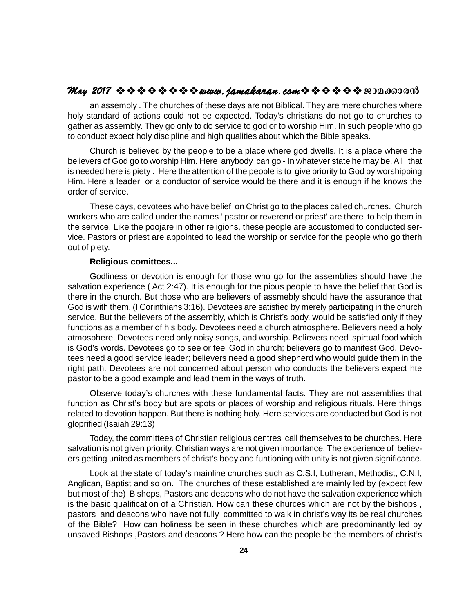## $\mathcal{M}_{\mathcal{A}\mathcal{Y}}$  2017  $\rightsquigarrow$   $\rightsquigarrow$   $\rightsquigarrow$   $\rightsquigarrow$   $\rightsquigarrow$   $\rightsquigarrow$   $\mathcal{M}_{\mathcal{A}\mathcal{Y}}$   $\rightsquigarrow$   $\rightsquigarrow$   $\rightsquigarrow$   $\rightsquigarrow$   $\rightsquigarrow$   $\rightsquigarrow$   $\rightsquigarrow$   $\rightsquigarrow$   $\rightsquigarrow$   $\rightsquigarrow$   $\rightsquigarrow$   $\rightsquigarrow$   $\rightsquigarrow$   $\rightsquigarrow$   $\rightsquigarrow$   $\rightsquigarrow$

an assembly . The churches of these days are not Biblical. They are mere churches where holy standard of actions could not be expected. Today's christians do not go to churches to gather as assembly. They go only to do service to god or to worship Him. In such people who go to conduct expect holy discipline and high qualities about which the Bible speaks.

Church is believed by the people to be a place where god dwells. It is a place where the believers of God go to worship Him. Here anybody can go - In whatever state he may be. All that is needed here is piety . Here the attention of the people is to give priority to God by worshipping Him. Here a leader or a conductor of service would be there and it is enough if he knows the order of service.

These days, devotees who have belief on Christ go to the places called churches. Church workers who are called under the names ' pastor or reverend or priest' are there to help them in the service. Like the poojare in other religions, these people are accustomed to conducted service. Pastors or priest are appointed to lead the worship or service for the people who go therh out of piety.

#### **Religious comittees...**

Godliness or devotion is enough for those who go for the assemblies should have the salvation experience ( Act 2:47). It is enough for the pious people to have the belief that God is there in the church. But those who are believers of assmebly should have the assurance that God is with them. (I Corinthians 3:16). Devotees are satisfied by merely participating in the church service. But the believers of the assembly, which is Christ's body, would be satisfied only if they functions as a member of his body. Devotees need a church atmosphere. Believers need a holy atmosphere. Devotees need only noisy songs, and worship. Believers need spirtual food which is God's words. Devotees go to see or feel God in church; believers go to manifest God. Devotees need a good service leader; believers need a good shepherd who would guide them in the right path. Devotees are not concerned about person who conducts the believers expect hte pastor to be a good example and lead them in the ways of truth.

Observe today's churches with these fundamental facts. They are not assemblies that function as Christ's body but are spots or places of worship and religious rituals. Here things related to devotion happen. But there is nothing holy. Here services are conducted but God is not gloprified (Isaiah 29:13)

Today, the committees of Christian religious centres call themselves to be churches. Here salvation is not given priority. Christian ways are not given importance. The experience of believers getting united as members of christ's body and funtioning with unity is not given significance.

Look at the state of today's mainline churches such as C.S.I, Lutheran, Methodist, C.N.I, Anglican, Baptist and so on. The churches of these established are mainly led by (expect few but most of the) Bishops, Pastors and deacons who do not have the salvation experience which is the basic qualification of a Christian. How can these churces which are not by the bishops , pastors and deacons who have not fully committed to walk in christ's way its be real churches of the Bible? How can holiness be seen in these churches which are predominantly led by unsaved Bishops ,Pastors and deacons ? Here how can the people be the members of christ's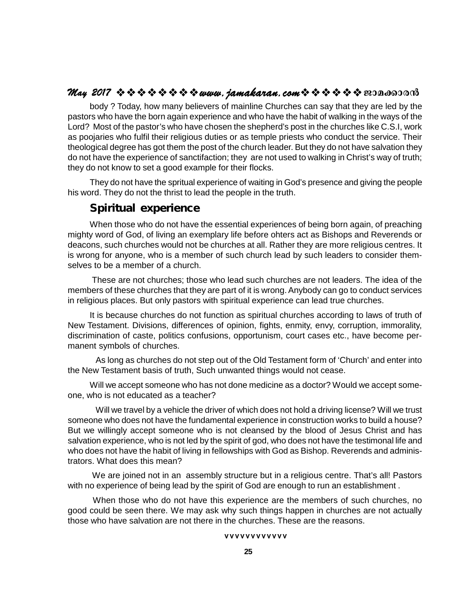### **May 2017 www.jamakaran.comPma¡mc³**

body ? Today, how many believers of mainline Churches can say that they are led by the pastors who have the born again experience and who have the habit of walking in the ways of the Lord? Most of the pastor's who have chosen the shepherd's post in the churches like C.S.I, work as poojaries who fulfil their religious duties or as temple priests who conduct the service. Their theological degree has got them the post of the church leader. But they do not have salvation they do not have the experience of sanctifaction; they are not used to walking in Christ's way of truth; they do not know to set a good example for their flocks.

They do not have the spritual experience of waiting in God's presence and giving the people his word. They do not the thrist to lead the people in the truth.

## *Spiritual experience*

When those who do not have the essential experiences of being born again, of preaching mighty word of God, of living an exemplary life before ohters act as Bishops and Reverends or deacons, such churches would not be churches at all. Rather they are more religious centres. It is wrong for anyone, who is a member of such church lead by such leaders to consider themselves to be a member of a church.

 These are not churches; those who lead such churches are not leaders. The idea of the members of these churches that they are part of it is wrong. Anybody can go to conduct services in religious places. But only pastors with spiritual experience can lead true churches.

It is because churches do not function as spiritual churches according to laws of truth of New Testament. Divisions, differences of opinion, fights, enmity, envy, corruption, immorality, discrimination of caste, politics confusions, opportunism, court cases etc., have become permanent symbols of churches.

As long as churches do not step out of the Old Testament form of 'Church' and enter into the New Testament basis of truth, Such unwanted things would not cease.

Will we accept someone who has not done medicine as a doctor? Would we accept someone, who is not educated as a teacher?

Will we travel by a vehicle the driver of which does not hold a driving license? Will we trust someone who does not have the fundamental experience in construction works to build a house? But we willingly accept someone who is not cleansed by the blood of Jesus Christ and has salvation experience, who is not led by the spirit of god, who does not have the testimonal life and who does not have the habit of living in fellowships with God as Bishop. Reverends and administrators. What does this mean?

 We are joined not in an assembly structure but in a religious centre. That's all! Pastors with no experience of being lead by the spirit of God are enough to run an establishment .

 When those who do not have this experience are the members of such churches, no good could be seen there. We may ask why such things happen in churches are not actually those who have salvation are not there in the churches. These are the reasons. Introl God are enough to run an experience are the members of<br>why such things happen in church<br>the churches. These are the reas<br>vvvvvvvvvvvv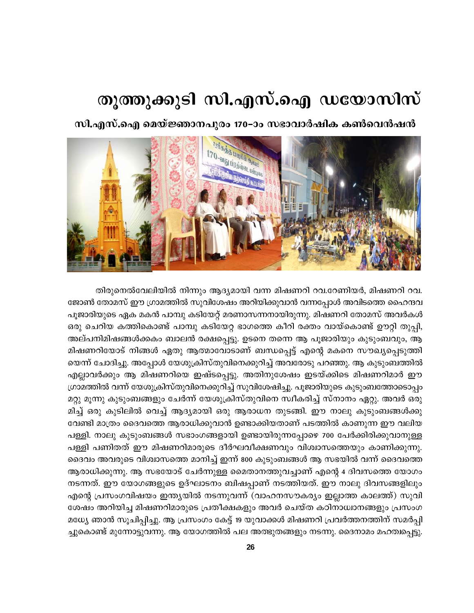## തൂത്തുക്കുടി സി.എസ്.ഐ ഡയോസിസ്

സി.എസ്.ഐ മെയ്ജ്ഞാനപുരം 170–ാം സഭാവാർഷിക കൺവെൻഷൻ



തിരുനെൽവേലിയിൽ നിന്നും ആദ്യമായി വന്ന മിഷണറി റവ.റേണിയർ, മിഷണറി റവ. ജോൺ തോമസ് ഈ ഗ്രാമത്തിൽ സുവിശേഷം അറിയിക്കുവാൻ വന്നപ്പോൾ അവിടത്തെ ഹൈന്ദവ പൂജാരിയുടെ ഏക മകൻ പാമ്പു കടിയേറ്റ് മരണാസന്നനായിരുന്നു. മിഷണറി തോമസ് അവർകൾ ഒരു ചെറിയ കത്തികൊണ്ട് പാമ്പു കടിയേറ്റ ഭാഗത്തെ കീറി രക്തം വായ്കൊണ്ട് ഊറ്റി തുപ്പി, അല്പനിമിഷങ്ങൾക്കകം ബാലൻ രക്ഷപ്പെട്ടു. ഉടനെ തന്നെ ആ പൂജാരിയും കുടുംബവും, ആ മിഷണറിയോട് നിങ്ങൾ ഏതു ആത്മാവോടാണ് ബന്ധപ്പെട്ട് എന്റെ മകനെ സൗഖ്യപ്പെടുത്തി യെന്ന് ചോദിച്ചു. അപ്പോൾ യേശുക്രിസ്തുവിനെക്കുറിച്ച് അവരോടു പറഞ്ഞു. ആ കുടുംബത്തിൽ എല്ലാവർക്കും ആ മിഷണറിയെ ഇഷ്ടപ്പെട്ടു. അതിനുശേഷം ഇടയ്ക്കിടെ മിഷണറിമാർ ഈ ഗ്രാമത്തിൽ വന്ന് യേശുക്രിസ്തുവിനെക്കുറിച്ച് സുവിശേഷിച്ചു. പൂജാരിയുടെ കുടുംബത്തോടൊപ്പം മറ്റു മൂന്നു കുടുംബങ്ങളും ചേർന്ന് യേശുക്രിസ്തുവിനെ സ്ഥീകരിച്ച് സ്നാനം ഏറ്റു. അവർ ഒരു മിച്ച് ഒരു കുടിലിൽ വെച്ച് ആദ്യമായി ഒരു ആരാധന തുടങ്ങി. ഈ നാലു കുടുംബങ്ങൾക്കു വേണ്ടി മാത്രം ദൈവത്തെ ആരാധിക്കുവാൻ ഉണ്ടാക്കിയതാണ് പടത്തിൽ കാണുന്ന ഈ വലിയ പള്ളി. നാലു കുടുംബങ്ങൾ സഭാംഗങ്ങളായി ഉണ്ടായിരുന്നപ്പോഴെ 700 പേർക്കിരിക്കുവാനുള്ള പള്ളി പണിതത് ഈ മിഷണറിമാരുടെ ദീർഘവീക്ഷണവും വിശ്വാസത്തെയും കാണിക്കുന്നു. ദൈവം അവരുടെ വിശ്വാസത്തെ മാനിച്ച് ഇന്ന് 800 കുടുംബങ്ങൾ ആ സഭയിൽ വന്ന് ദൈവത്തെ ആരാധിക്കുന്നു. ആ സഭയോട് ചേർന്നുള്ള മൈതാനത്തുവച്ചാണ് എന്റെ 4 ദിവസത്തെ യോഗം നടന്നത്. ഈ യോഗങ്ങളുടെ ഉദ്ഘാടനം ബിഷപ്പാണ് നടത്തിയത്. ഈ നാലു ദിവസങ്ങളിലും എന്റെ പ്രസംഗവിഷയം ഇന്ത്യയിൽ നടന്നുവന്ന് (വാഹനസൗകര്യം ഇല്ലാത്ത കാലത്ത്) സുവി ശേഷം അറിയിച്ച മിഷണറിമാരുടെ പ്രതീക്ഷകളും അവർ ചെയ്ത കഠിനാധ്വാനങ്ങളും പ്രസംഗ മധ്യേ ഞാൻ സൂചിപ്പിച്ചു. ആ പ്രസംഗം കേട്ട് 19 യുവാക്കൾ മിഷണറി പ്രവർത്തനത്തിന് സമർപ്പി ച്ചുകൊണ്ട് മുന്നോട്ടുവന്നു. ആ യോഗത്തിൽ പല അത്ഭുതങ്ങളും നടന്നു. ദൈനാമം മഹത്വപ്പെട്ടു.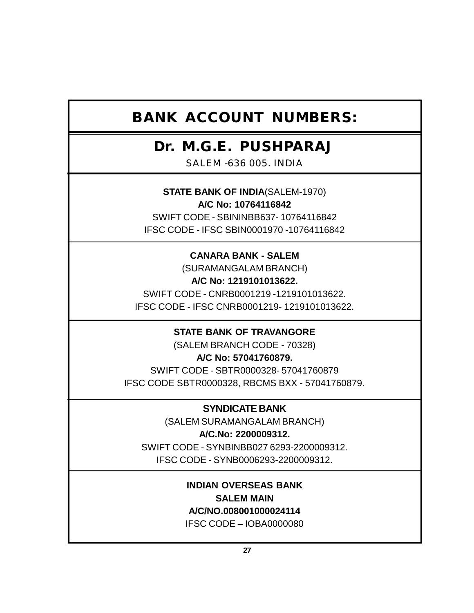## **BANK ACCOUNT NUMBERS:**

## **Dr. M.G.E. PUSHPARAJ**

SALEM -636 005. INDIA

**STATE BANK OF INDIA**(SALEM-1970) **A/C No: 10764116842**

SWIFT CODE - SBININBB637- 10764116842 IFSC CODE - IFSC SBIN0001970 -10764116842

## **CANARA BANK - SALEM**

(SURAMANGALAM BRANCH) **A/C No: 1219101013622.** SWIFT CODE - CNRB0001219 -1219101013622. IFSC CODE - IFSC CNRB0001219- 1219101013622.

## **STATE BANK OF TRAVANGORE**

(SALEM BRANCH CODE - 70328)

**A/C No: 57041760879.** SWIFT CODE - SBTR0000328- 57041760879 IFSC CODE SBTR0000328, RBCMS BXX - 57041760879.

## **SYNDICATE BANK**

(SALEM SURAMANGALAM BRANCH) **A/C.No: 2200009312.** SWIFT CODE - SYNBINBB027 6293-2200009312. IFSC CODE - SYNB0006293-2200009312.

## **INDIAN OVERSEAS BANK SALEM MAIN A/C/NO.008001000024114**

IFSC CODE – IOBA0000080